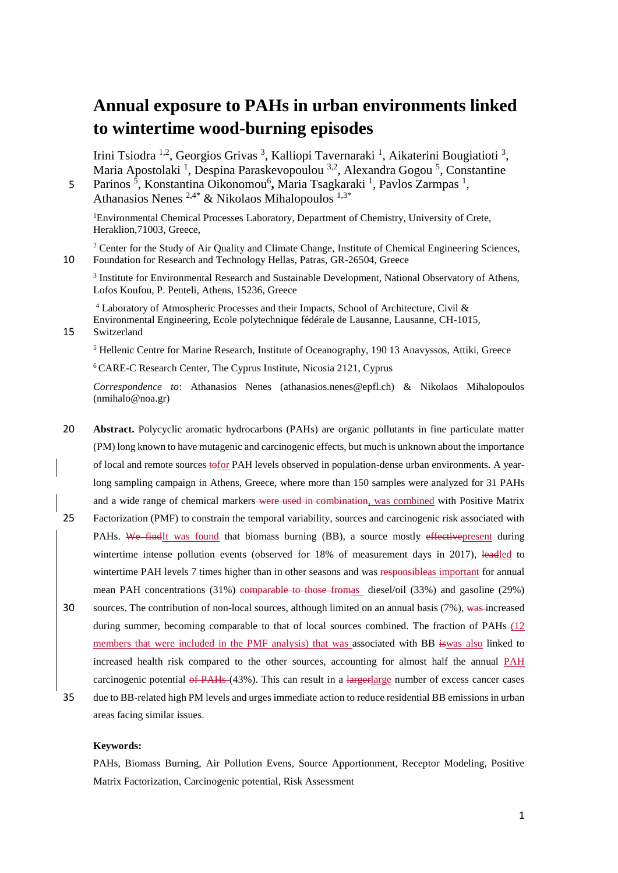# **Annual exposure to PAHs in urban environments linked to wintertime wood-burning episodes**

Irini Tsiodra <sup>1,2</sup>, Georgios Grivas<sup>3</sup>, Kalliopi Tavernaraki<sup>1</sup>, Aikaterini Bougiatioti<sup>3</sup>, Maria Apostolaki<sup>1</sup>, Despina Paraskevopoulou<sup>3,2</sup>, Alexandra Gogou<sup>5</sup>, Constantine

5 Parinos<sup>5</sup>, Konstantina Oikonomou<sup>6</sup>, Maria Tsagkaraki<sup>1</sup>, Pavlos Zarmpas<sup>1</sup>, Athanasios Nenes  $2.4*$  & Nikolaos Mihalopoulos  $1.3*$ 

<sup>1</sup>Environmental Chemical Processes Laboratory, Department of Chemistry, University of Crete, Heraklion,71003, Greece,

<sup>2</sup> Center for the Study of Air Quality and Climate Change, Institute of Chemical Engineering Sciences, 10 Foundation for Research and Technology Hellas, Patras, GR-26504, Greece

<sup>3</sup> Institute for Environmental Research and Sustainable Development, National Observatory of Athens, Lofos Koufou, P. Penteli, Athens, 15236, Greece

<sup>4</sup> Laboratory of Atmospheric Processes and their Impacts, School of Architecture, Civil & Environmental Engineering, Ecole polytechnique fédérale de Lausanne, Lausanne, CH-1015,

15 Switzerland

<sup>5</sup> Hellenic Centre for Marine Research, Institute of Oceanography, 190 13 Anavyssos, Attiki, Greece

<sup>6</sup> CARE-C Research Center, The Cyprus Institute, Nicosia 2121, Cyprus

*Correspondence to*: Athanasios Nenes (athanasios.nenes@epfl.ch) & Nikolaos Mihalopoulos (nmihalo@noa.gr)

- 20 **Abstract.** Polycyclic aromatic hydrocarbons (PAHs) are organic pollutants in fine particulate matter (PM) long known to have mutagenic and carcinogenic effects, but much is unknown about the importance of local and remote sources tofor PAH levels observed in population-dense urban environments. A yearlong sampling campaign in Athens, Greece, where more than 150 samples were analyzed for 31 PAHs and a wide range of chemical markers-were used in combination, was combined with Positive Matrix
- 25 Factorization (PMF) to constrain the temporal variability, sources and carcinogenic risk associated with PAHs. We findIt was found that biomass burning (BB), a source mostly effective present during wintertime intense pollution events (observed for 18% of measurement days in 2017), leadled to wintertime PAH levels 7 times higher than in other seasons and was responsibleas important for annual mean PAH concentrations (31%) comparable to those fromas diesel/oil (33%) and gasoline (29%)
- 30 sources. The contribution of non-local sources, although limited on an annual basis (7%), was increased during summer, becoming comparable to that of local sources combined. The fraction of PAHs (12 members that were included in the PMF analysis) that was associated with BB iswas also linked to increased health risk compared to the other sources, accounting for almost half the annual PAH carcinogenic potential of PAHs (43%). This can result in a largerlarge number of excess cancer cases
- 35 due to BB-related high PM levels and urges immediate action to reduce residential BB emissions in urban areas facing similar issues.

#### **Keywords:**

PAHs, Biomass Burning, Air Pollution Evens, Source Apportionment, Receptor Modeling, Positive Matrix Factorization, Carcinogenic potential, Risk Assessment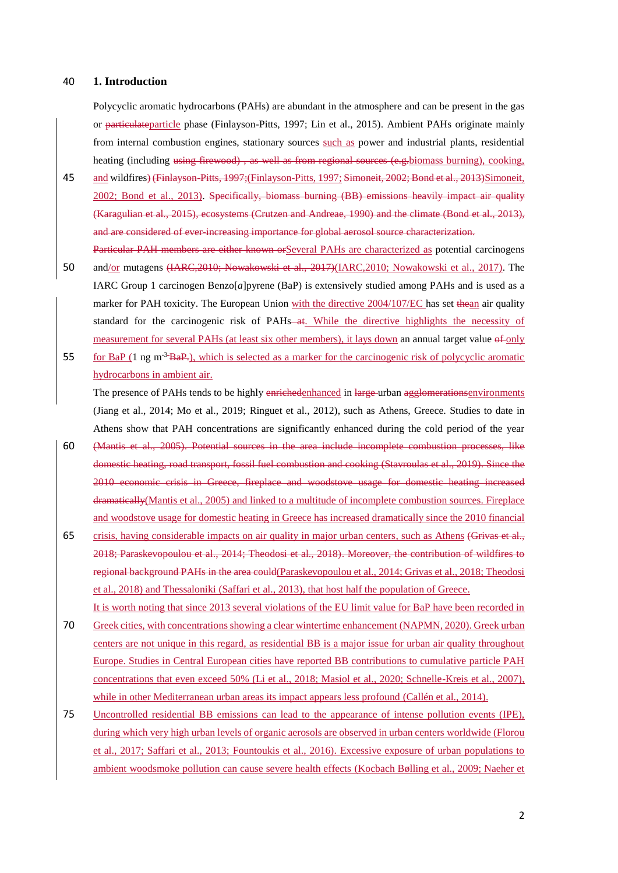#### 40 **1. Introduction**

Polycyclic aromatic hydrocarbons (PAHs) are abundant in the atmosphere and can be present in the gas or particulateparticle phase (Finlayson-Pitts, 1997; Lin et al., 2015). Ambient PAHs originate mainly from internal combustion engines, stationary sources such as power and industrial plants, residential heating (including using firewood), as well as from regional sources (e.g. biomass burning), cooking,

- 45 and wildfires) (Finlayson-Pitts, 1997;(Finlayson-Pitts, 1997; Simoneit, 2002; Bond et al., 2013)Simoneit, 2002; Bond et al., 2013). Specifically, biomass burning (BB) emissions heavily impact air quality (Karagulian et al., 2015), ecosystems (Crutzen and Andreae, 1990) and the climate (Bond et al., 2013), and are considered of ever-increasing importance for global aerosol source characterization. Particular PAH members are either known orSeveral PAHs are characterized as potential carcinogens
- 50 and/or mutagens (IARC,2010; Nowakowski et al., 2017)(IARC,2010; Nowakowski et al., 2017). The IARC Group 1 carcinogen Benzo[*a*]pyrene (BaP) is extensively studied among PAHs and is used as a marker for PAH toxicity. The European Union with the directive 2004/107/EC has set thean air quality standard for the carcinogenic risk of PAHs—at. While the directive highlights the necessity of measurement for several PAHs (at least six other members), it lays down an annual target value of only
- for BaP (1 ng m-3 55 ΒaP.), which is selected as a marker for the carcinogenic risk of polycyclic aromatic hydrocarbons in ambient air.

The presence of PAHs tends to be highly enrichedenhanced in large-urban agglomerationsenvironments (Jiang et al., 2014; Mo et al., 2019; Ringuet et al., 2012), such as Athens, Greece. Studies to date in Athens show that PAH concentrations are significantly enhanced during the cold period of the year

- 60 (Mantis et al., 2005). Potential sources in the area include incomplete combustion processes, like domestic heating, road transport, fossil fuel combustion and cooking (Stavroulas et al., 2019). Since the 2010 economic crisis in Greece, fireplace and woodstove usage for domestic heating increased dramatically(Mantis et al., 2005) and linked to a multitude of incomplete combustion sources. Fireplace and woodstove usage for domestic heating in Greece has increased dramatically since the 2010 financial
- 65 crisis, having considerable impacts on air quality in major urban centers, such as Athens (Grivas et al., 2018; Paraskevopoulou et al., 2014; Theodosi et al., 2018). Moreover, the contribution of wildfires to regional background PAHs in the area could(Paraskevopoulou et al., 2014; Grivas et al., 2018; Theodosi et al., 2018) and Thessaloniki (Saffari et al., 2013), that host half the population of Greece. It is worth noting that since 2013 several violations of the EU limit value for BaP have been recorded in
- 70 Greek cities, with concentrations showing a clear wintertime enhancement (NAPMN, 2020). Greek urban centers are not unique in this regard, as residential BB is a major issue for urban air quality throughout Europe. Studies in Central European cities have reported BB contributions to cumulative particle PAH concentrations that even exceed 50% (Li et al., 2018; Masiol et al., 2020; Schnelle-Kreis et al., 2007), while in other Mediterranean urban areas its impact appears less profound (Callén et al., 2014).
- 75 Uncontrolled residential BB emissions can lead to the appearance of intense pollution events (IPE), during which very high urban levels of organic aerosols are observed in urban centers worldwide (Florou et al., 2017; Saffari et al., 2013; Fountoukis et al., 2016). Excessive exposure of urban populations to ambient woodsmoke pollution can cause severe health effects (Kocbach Bølling et al., 2009; Naeher et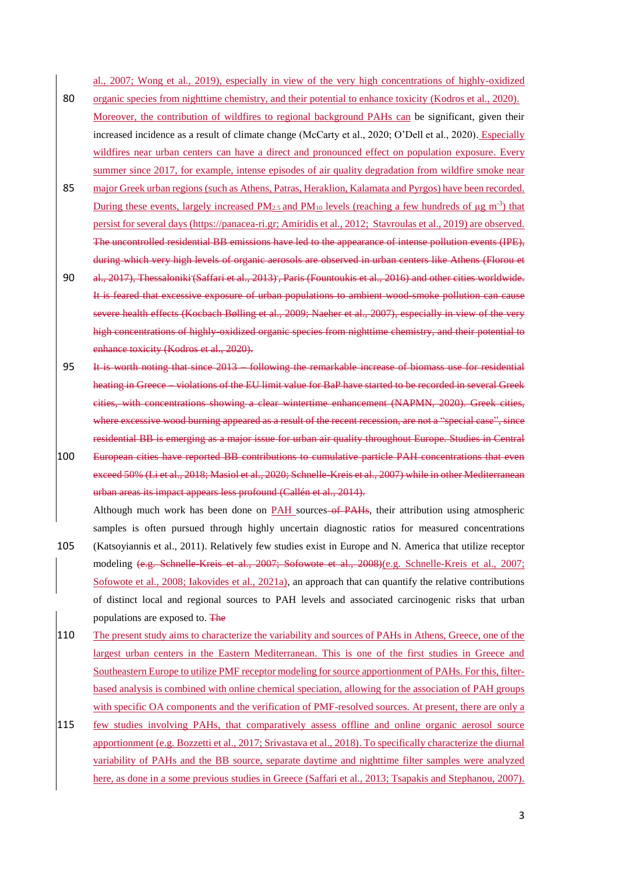al., 2007; Wong et al., 2019), especially in view of the very high concentrations of highly-oxidized

- 80 organic species from nighttime chemistry, and their potential to enhance toxicity (Kodros et al., 2020). Moreover, the contribution of wildfires to regional background PAHs can be significant, given their increased incidence as a result of climate change (McCarty et al., 2020; O'Dell et al., 2020). Especially wildfires near urban centers can have a direct and pronounced effect on population exposure. Every summer since 2017, for example, intense episodes of air quality degradation from wildfire smoke near
- 85 major Greek urban regions (such as Athens, Patras, Heraklion, Kalamata and Pyrgos) have been recorded. During these events, largely increased  $PM_{2.5}$  and  $PM_{10}$  levels (reaching a few hundreds of  $\mu$ g m<sup>-3</sup>) that persist for several days [\(https://panacea-ri.gr;](https://panacea-ri.gr/) Amiridis et al., 2012; Stavroulas et al., 2019) are observed. The uncontrolled residential BB emissions have led to the appearance of intense pollution events (IPE), during which very high levels of organic aerosols are observed in urban centers like Athens (Florou et
- 90 al., 2017), Thessaloniki (Saffari et al., 2013), Paris (Fountoukis et al., 2016) and other cities worldwide. It is feared that excessive exposure of urban populations to ambient wood-smoke pollution can cause severe health effects (Kocbach Bølling et al., 2009; Naeher et al., 2007), especially in view of the very high concentrations of highly-oxidized organic species from nighttime chemistry, and their potential to enhance toxicity (Kodros et al., 2020).
- 95 It is worth noting that since 2013 following the remarkable increase of biomass use for residential heating in Greece – violations of the EU limit value for BaP have started to be recorded in several Greek cities, with concentrations showing a clear wintertime enhancement (NAPMN, 2020). Greek cities, where excessive wood burning appeared as a result of the recent recession, are not a "special case", since residential BB is emerging as a major issue for urban air quality throughout Europe. Studies in Central
- 100 European cities have reported BB contributions to cumulative particle PAH concentrations that even exceed 50% (Li et al., 2018; Masiol et al., 2020; Schnelle-Kreis et al., 2007) while in other Mediterranean urban areas its impact appears less profound (Callén et al., 2014).

Although much work has been done on PAH sources of PAHs, their attribution using atmospheric samples is often pursued through highly uncertain diagnostic ratios for measured concentrations 105 (Katsoyiannis et al., 2011). Relatively few studies exist in Europe and N. America that utilize receptor modeling (e.g. Schnelle-Kreis et al., 2007; Sofowote et al., 2008)(e.g. Schnelle-Kreis et al., 2007; Sofowote et al., 2008; Iakovides et al., 2021a), an approach that can quantify the relative contributions of distinct local and regional sources to PAH levels and associated carcinogenic risks that urban populations are exposed to. The

- 110 The present study aims to characterize the variability and sources of PAHs in Athens, Greece, one of the largest urban centers in the Eastern Mediterranean. This is one of the first studies in Greece and Southeastern Europe to utilize PMF receptor modeling for source apportionment of PAHs. For this, filterbased analysis is combined with online chemical speciation, allowing for the association of PAH groups with specific OA components and the verification of PMF-resolved sources. At present, there are only a
- 115 few studies involving PAHs, that comparatively assess offline and online organic aerosol source apportionment (e.g. Bozzetti et al., 2017; Srivastava et al., 2018). To specifically characterize the diurnal variability of PAHs and the BB source, separate daytime and nighttime filter samples were analyzed here, as done in a some previous studies in Greece (Saffari et al., 2013; Tsapakis and Stephanou, 2007).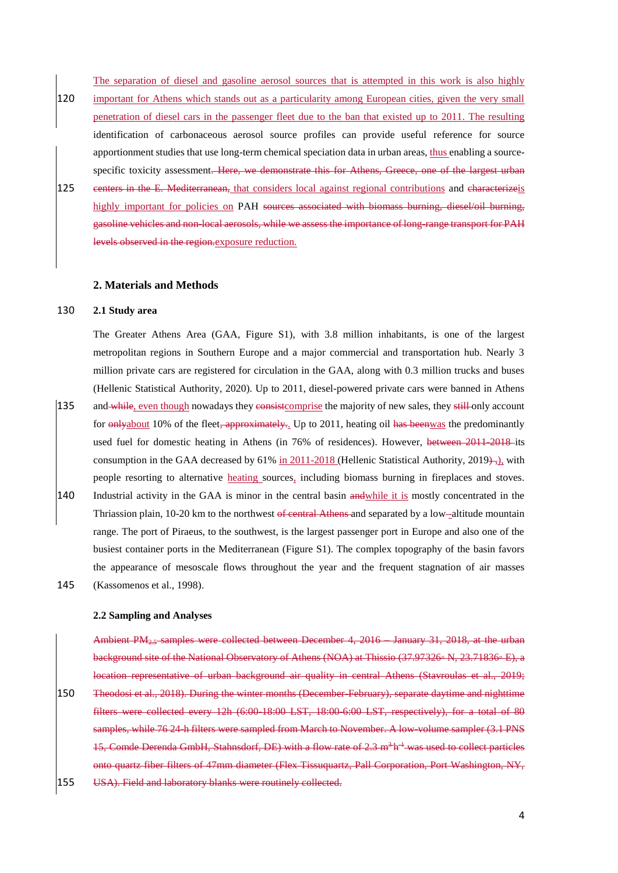The separation of diesel and gasoline aerosol sources that is attempted in this work is also highly 120 important for Athens which stands out as a particularity among European cities, given the very small penetration of diesel cars in the passenger fleet due to the ban that existed up to 2011. The resulting identification of carbonaceous aerosol source profiles can provide useful reference for source apportionment studies that use long-term chemical speciation data in urban areas, thus enabling a sourcespecific toxicity assessment. Here, we demonstrate this for Athens, Greece, one of the largest urban

125 eenters in the E. Mediterranean, that considers local against regional contributions and characterizeis highly important for policies on PAH sources associated with biomass burning, diesel/oil burning, gasoline vehicles and non-local aerosols, while we assess the importance of long-range transport for PAH levels observed in the region.exposure reduction.

#### **2. Materials and Methods**

#### 130 **2.1 Study area**

The Greater Athens Area (GAA, Figure S1), with 3.8 million inhabitants, is one of the largest metropolitan regions in Southern Europe and a major commercial and transportation hub. Nearly 3 million private cars are registered for circulation in the GAA, along with 0.3 million trucks and buses (Hellenic Statistical Authority, 2020). Up to 2011, diesel-powered private cars were banned in Athens 135 and while, even though nowadays they consist comprise the majority of new sales, they still only account for  $\frac{6}{9}$  of the fleet, approximately. Up to 2011, heating oil has beenwas the predominantly used fuel for domestic heating in Athens (in 76% of residences). However, between 2011-2018-its consumption in the GAA decreased by 61% in 2011-2018 (Hellenic Statistical Authority, 2019), with people resorting to alternative heating sources, including biomass burning in fireplaces and stoves. 140 Industrial activity in the GAA is minor in the central basin and while it is mostly concentrated in the Thriassion plain, 10-20 km to the northwest of central Athens and separated by a low-altitude mountain range. The port of Piraeus, to the southwest, is the largest passenger port in Europe and also one of the

busiest container ports in the Mediterranean (Figure S1). The complex topography of the basin favors the appearance of mesoscale flows throughout the year and the frequent stagnation of air masses 145 (Kassomenos et al., 1998).

#### **2.2 Sampling and Analyses**

Ambient PM2.5 samples were collected between December 4, 2016 – January 31, 2018, at the urban background site of the National Observatory of Athens (NOA) at Thissio (37.97326◦ N, 23.71836◦ E), a location representative of urban background air quality in central Athens (Stavroulas et al., 2019; 150 Theodosi et al., 2018). During the winter months (December-February), separate daytime and nighttime filters were collected every 12h (6:00-18:00 LST, 18:00-6:00 LST, respectively), for a total of 80 samples, while 76 24 h filters were sampled from March to November. A low-volume sampler (3.1 PNS 15, Comde Derenda GmbH, Stahnsdorf, DE) with a flow rate of 2.3 m<sup>3</sup>h<sup>-1</sup> was used to collect particles onto quartz fiber filters of 47mm diameter (Flex Tissuquartz, Pall Corporation, Port Washington, NY, 155 USA). Field and laboratory blanks were routinely collected.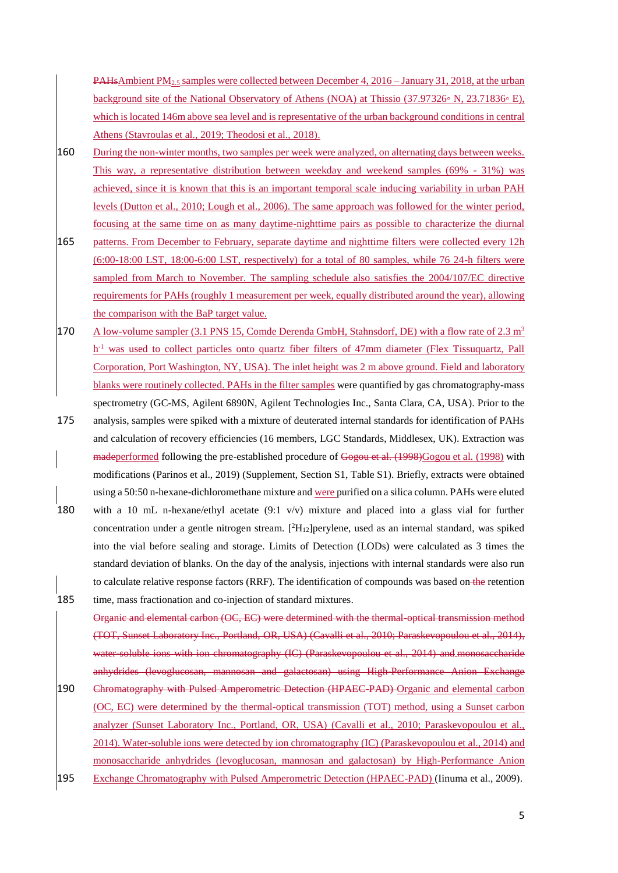**PAHsAmbient PM**<sub>2.5</sub> samples were collected between December 4, 2016 – January 31, 2018, at the urban background site of the National Observatory of Athens (NOA) at Thissio (37.97326◦ N, 23.71836◦ E), which is located 146m above sea level and is representative of the urban background conditions in central Athens (Stavroulas et al., 2019; Theodosi et al., 2018).

- 160 During the non-winter months, two samples per week were analyzed, on alternating days between weeks. This way, a representative distribution between weekday and weekend samples (69% - 31%) was achieved, since it is known that this is an important temporal scale inducing variability in urban PAH levels (Dutton et al., 2010; Lough et al., 2006). The same approach was followed for the winter period, focusing at the same time on as many daytime-nighttime pairs as possible to characterize the diurnal
- 165 patterns. From December to February, separate daytime and nighttime filters were collected every 12h (6:00-18:00 LST, 18:00-6:00 LST, respectively) for a total of 80 samples, while 76 24-h filters were sampled from March to November. The sampling schedule also satisfies the 2004/107/EC directive requirements for PAHs (roughly 1 measurement per week, equally distributed around the year), allowing the comparison with the BaP target value.
- 170 A low-volume sampler (3.1 PNS 15, Comde Derenda GmbH, Stahnsdorf, DE) with a flow rate of 2.3  $m<sup>3</sup>$ h<sup>-1</sup> was used to collect particles onto quartz fiber filters of 47mm diameter (Flex Tissuquartz, Pall Corporation, Port Washington, NY, USA). The inlet height was 2 m above ground. Field and laboratory blanks were routinely collected. PAHs in the filter samples were quantified by gas chromatography-mass spectrometry (GC-MS, Agilent 6890N, Agilent Technologies Inc., Santa Clara, CA, USA). Prior to the
- 175 analysis, samples were spiked with a mixture of deuterated internal standards for identification of PAHs and calculation of recovery efficiencies (16 members, LGC Standards, Middlesex, UK). Extraction was madeperformed following the pre-established procedure of Gogou et al. (1998)Gogou et al. (1998) with modifications (Parinos et al., 2019) (Supplement, Section S1, Table S1). Briefly, extracts were obtained using a 50:50 n-hexane-dichloromethane mixture and were purified on a silica column. PAHs were eluted 180 with a 10 mL n-hexane/ethyl acetate (9:1 v/v) mixture and placed into a glass vial for further concentration under a gentle nitrogen stream. [<sup>2</sup>H<sub>12</sub>]perylene, used as an internal standard, was spiked into the vial before sealing and storage. Limits of Detection (LODs) were calculated as 3 times the
- standard deviation of blanks. On the day of the analysis, injections with internal standards were also run to calculate relative response factors (RRF). The identification of compounds was based on the retention 185 time, mass fractionation and co-injection of standard mixtures.

Organic and elemental carbon (OC, EC) were determined with the thermal-optical transmission method (TOT, Sunset Laboratory Inc., Portland, OR, USA) (Cavalli et al., 2010; Paraskevopoulou et al., 2014), water-soluble ions with ion chromatography (IC) (Paraskevopoulou et al., 2014) and monosaccharide anhydrides (levoglucosan, mannosan and galactosan) using High-Performance Anion Exchange 190 Chromatography with Pulsed Amperometric Detection (HPAEC-PAD) Organic and elemental carbon (OC, EC) were determined by the thermal-optical transmission (TOT) method, using a Sunset carbon analyzer (Sunset Laboratory Inc., Portland, OR, USA) (Cavalli et al., 2010; Paraskevopoulou et al., 2014). Water-soluble ions were detected by ion chromatography (IC) (Paraskevopoulou et al., 2014) and monosaccharide anhydrides (levoglucosan, mannosan and galactosan) by High-Performance Anion 195 Exchange Chromatography with Pulsed Amperometric Detection (HPAEC-PAD) (Iinuma et al., 2009).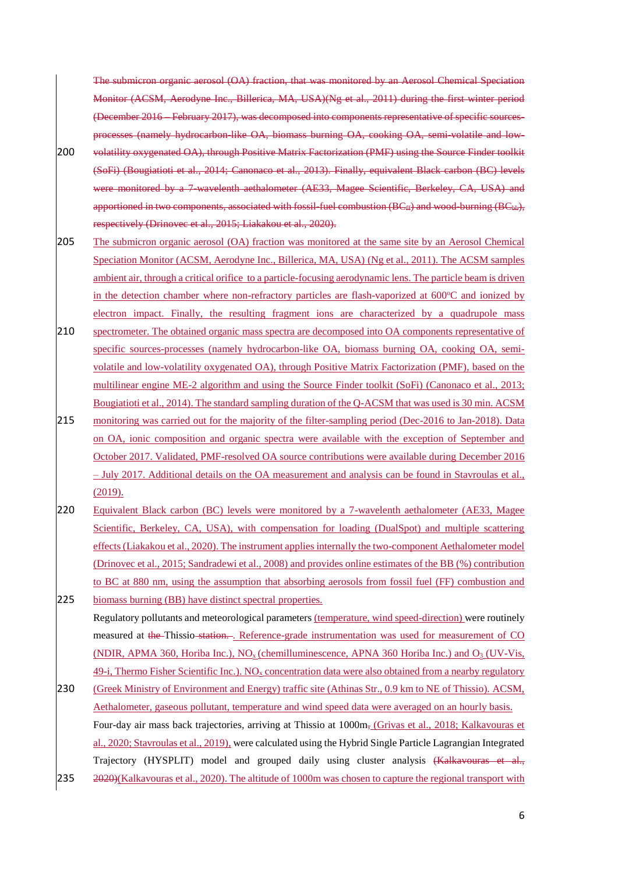The submicron organic aerosol (OA) fraction, that was monitored by an Aerosol Chemical Speciation Monitor (ACSM, Aerodyne Inc., Billerica, MA, USA)(Ng et al., 2011) during the first winter period (December 2016 – February 2017), was decomposed into components representative of specific sourcesprocesses (namely hydrocarbon-like OA, biomass burning OA, cooking OA, semi-volatile and low-

- 200 volatility oxygenated OA), through Positive Matrix Factorization (PMF) using the Source Finder toolkit (SoFi) (Bougiatioti et al., 2014; Canonaco et al., 2013). Finally, equivalent Black carbon (BC) levels were monitored by a 7-wavelenth aethalometer (AE33, Magee Scientific, Berkeley, CA, USA) and apportioned in two components, associated with fossil-fuel combustion ( $BC_{ff}$ ) and wood-burning ( $BC_{hb}$ ), respectively (Drinovec et al., 2015; Liakakou et al., 2020).
- 205 The submicron organic aerosol (OA) fraction was monitored at the same site by an Aerosol Chemical Speciation Monitor (ACSM, Aerodyne Inc., Billerica, MA, USA) (Ng et al., 2011). Τhe ACSM samples ambient air, through a critical orifice to a particle-focusing aerodynamic lens. The particle beam is driven in the detection chamber where non-refractory particles are flash-vaporized at  $600^{\circ}$ C and ionized by electron impact. Finally, the resulting fragment ions are characterized by a quadrupole mass
- 210 spectrometer. The obtained organic mass spectra are decomposed into OA components representative of specific sources-processes (namely hydrocarbon-like OA, biomass burning OA, cooking OA, semivolatile and low-volatility oxygenated OA), through Positive Matrix Factorization (PMF), based on the multilinear engine ME-2 algorithm and using the Source Finder toolkit (SoFi) (Canonaco et al., 2013; Bougiatioti et al., 2014). The standard sampling duration of the Q-ACSM that was used is 30 min. ACSM
- 215 monitoring was carried out for the majority of the filter-sampling period (Dec-2016 to Jan-2018). Data on OA, ionic composition and organic spectra were available with the exception of September and October 2017. Validated, PMF-resolved OA source contributions were available during December 2016 – July 2017. Additional details on the OA measurement and analysis can be found in Stavroulas et al.,  $(2019).$
- 220 Equivalent Black carbon (BC) levels were monitored by a 7-wavelenth aethalometer (AE33, Magee Scientific, Berkeley, CA, USA), with compensation for loading (DualSpot) and multiple scattering effects (Liakakou et al., 2020). The instrument applies internally the two-component Aethalometer model (Drinovec et al., 2015; Sandradewi et al., 2008) and provides online estimates of the BB (%) contribution to BC at 880 nm, using the assumption that absorbing aerosols from fossil fuel (FF) combustion and

225 biomass burning (BB) have distinct spectral properties. Regulatory pollutants and meteorological parameters (temperature, wind speed-direction) were routinely measured at the Thissio station... Reference-grade instrumentation was used for measurement of CO (NDIR, APMA 360, Horiba Inc.),  $NO_x$  (chemilluminescence, APNA 360 Horiba Inc.) and  $O_3$  (UV-Vis, 49-i, Thermo Fisher Scientific Inc.).  $NO<sub>x</sub>$  concentration data were also obtained from a nearby regulatory

230 (Greek Ministry of Environment and Energy) traffic site (Athinas Str., 0.9 km to NE of Thissio). ACSM, Aethalometer, gaseous pollutant, temperature and wind speed data were averaged on an hourly basis. Four-day air mass back trajectories, arriving at Thissio at 1000m, (Grivas et al., 2018; Kalkavouras et al., 2020; Stavroulas et al., 2019), were calculated using the Hybrid Single Particle Lagrangian Integrated Trajectory (HYSPLIT) model and grouped daily using cluster analysis (Kalkavouras et al., 235 2020)(Kalkavouras et al., 2020). The altitude of 1000m was chosen to capture the regional transport with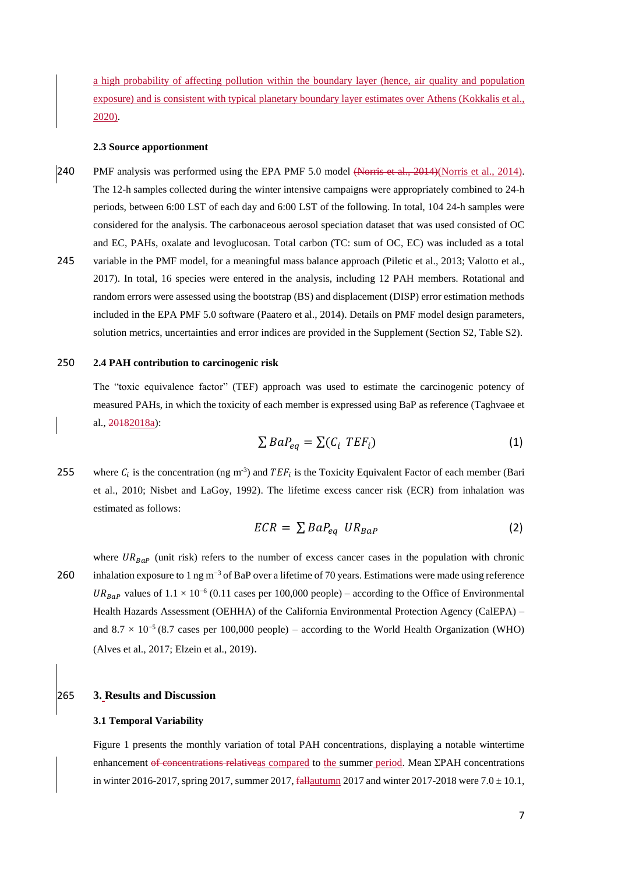a high probability of affecting pollution within the boundary layer (hence, air quality and population exposure) and is consistent with typical planetary boundary layer estimates over Athens (Kokkalis et al., 2020).

#### **2.3 Source apportionment**

240 PMF analysis was performed using the EPA PMF 5.0 model (Norris et al., 2014)(Norris et al., 2014). The 12-h samples collected during the winter intensive campaigns were appropriately combined to 24-h periods, between 6:00 LST of each day and 6:00 LST of the following. In total, 104 24-h samples were considered for the analysis. The carbonaceous aerosol speciation dataset that was used consisted of OC and EC, PAHs, oxalate and levoglucosan. Total carbon (TC: sum of OC, EC) was included as a total 245 variable in the PMF model, for a meaningful mass balance approach (Piletic et al., 2013; Valotto et al., 2017). In total, 16 species were entered in the analysis, including 12 PAH members. Rotational and random errors were assessed using the bootstrap (BS) and displacement (DISP) error estimation methods included in the EPA PMF 5.0 software (Paatero et al., 2014). Details on PMF model design parameters, solution metrics, uncertainties and error indices are provided in the Supplement (Section S2, Table S2).

#### 250 **2.4 PAH contribution to carcinogenic risk**

The "toxic equivalence factor" (TEF) approach was used to estimate the carcinogenic potency of measured PAHs, in which the toxicity of each member is expressed using BaP as reference (Taghvaee et al., 20182018a):

$$
\sum BaP_{eq} = \sum (C_i \, TEF_i) \tag{1}
$$

255 where  $C_i$  is the concentration (ng m<sup>-3</sup>) and TEF<sub>i</sub> is the Toxicity Equivalent Factor of each member (Bari et al., 2010; Nisbet and LaGoy, 1992). The lifetime excess cancer risk (ECR) from inhalation was estimated as follows:

$$
ECR = \sum BaP_{eq} \; UR_{BaP} \tag{2}
$$

where  $UR_{BaP}$  (unit risk) refers to the number of excess cancer cases in the population with chronic inhalation exposure to 1 ng m−3 260 of BaP over a lifetime of 70 years. Estimations were made using reference UR<sub>BaP</sub> values of  $1.1 \times 10^{-6}$  (0.11 cases per 100,000 people) – according to the Office of Environmental Health Hazards Assessment (OEHHA) of the California Environmental Protection Agency (CalEPA) – and  $8.7 \times 10^{-5}$  (8.7 cases per 100,000 people) – according to the World Health Organization (WHO) (Alves et al., 2017; Elzein et al., 2019).

#### 265 **3. Results and Discussion**

#### **3.1 Temporal Variability**

Figure 1 presents the monthly variation of total PAH concentrations, displaying a notable wintertime enhancement of concentrations relativeas compared to the summer period. Mean ΣPAH concentrations in winter 2016-2017, spring 2017, summer 2017,  $\frac{f_{\text{all}}}{f_{\text{all}}}$  and winter 2017-2018 were 7.0  $\pm$  10.1,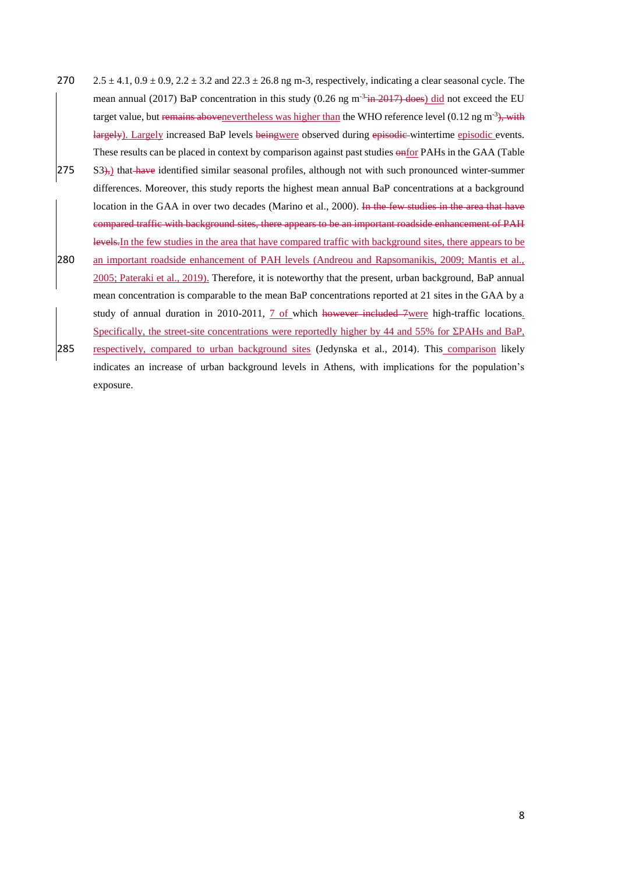- 270  $2.5 \pm 4.1$ ,  $0.9 \pm 0.9$ ,  $2.2 \pm 3.2$  and  $22.3 \pm 26.8$  ng m-3, respectively, indicating a clear seasonal cycle. The mean annual (2017) BaP concentration in this study (0.26 ng  $m<sup>3</sup>$ <del>in 2017) does</del>) did not exceed the EU target value, but remains abovenevertheless was higher than the WHO reference level (0.12 ng m<sup>-3</sup>), with largely). Largely increased BaP levels beingwere observed during episodic-wintertime episodic events. These results can be placed in context by comparison against past studies  $\frac{\partial^2 f}{\partial x^2}$  PAHs in the GAA (Table
- $[275 \quad S3]_{\overline{7}}$ ) that have identified similar seasonal profiles, although not with such pronounced winter-summer differences. Moreover, this study reports the highest mean annual BaP concentrations at a background location in the GAA in over two decades (Marino et al., 2000). In the few studies in the area that have compared traffic with background sites, there appears to be an important roadside enhancement of PAH levels.In the few studies in the area that have compared traffic with background sites, there appears to be
- 280 an important roadside enhancement of PAH levels (Andreou and Rapsomanikis, 2009; Mantis et al., 2005; Pateraki et al., 2019). Therefore, it is noteworthy that the present, urban background, BaP annual mean concentration is comparable to the mean BaP concentrations reported at 21 sites in the GAA by a study of annual duration in 2010-2011, 7 of which however included 7were high-traffic locations. Specifically, the street-site concentrations were reportedly higher by 44 and 55% for ΣPAHs and BaP,
- 285 respectively, compared to urban background sites (Jedynska et al., 2014). This comparison likely indicates an increase of urban background levels in Athens, with implications for the population's exposure.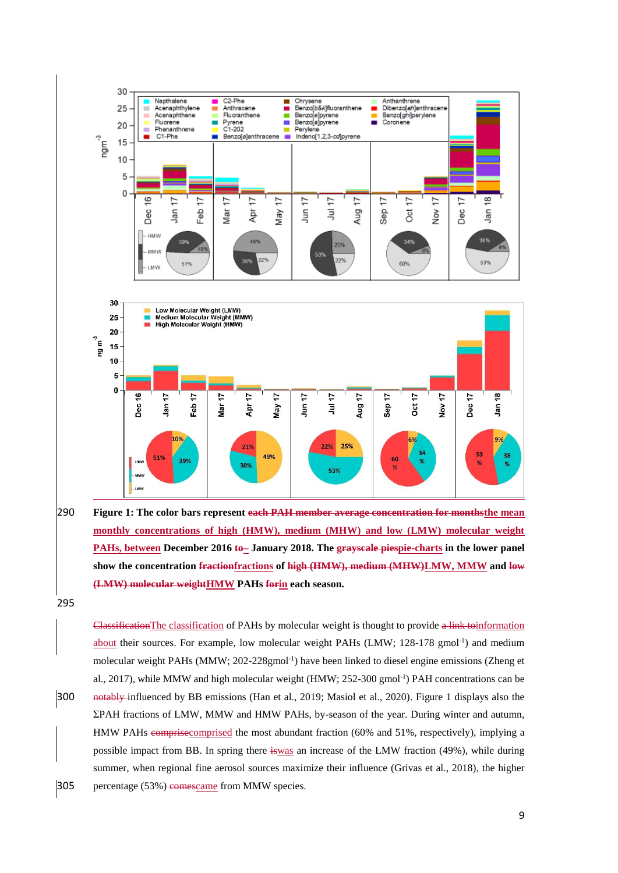



295

ClassificationThe classification of PAHs by molecular weight is thought to provide a link toinformation about their sources. For example, low molecular weight PAHs  $(LMW; 128-178 gmol^{-1})$  and medium molecular weight PAHs (MMW; 202-228gmol<sup>-1</sup>) have been linked to diesel engine emissions (Zheng et al., 2017), while MMW and high molecular weight (HMW; 252-300 gmol<sup>-1</sup>) PAH concentrations can be 300 notably influenced by BB emissions (Han et al., 2019; Masiol et al., 2020). Figure 1 displays also the ΣPAH fractions of LMW, MMW and HMW PAHs, by-season of the year. During winter and autumn, HMW PAHs comprisecomprised the most abundant fraction (60% and 51%, respectively), implying a possible impact from BB. In spring there is was an increase of the LMW fraction (49%), while during summer, when regional fine aerosol sources maximize their influence (Grivas et al., 2018), the higher 305 percentage (53%) comescame from MMW species.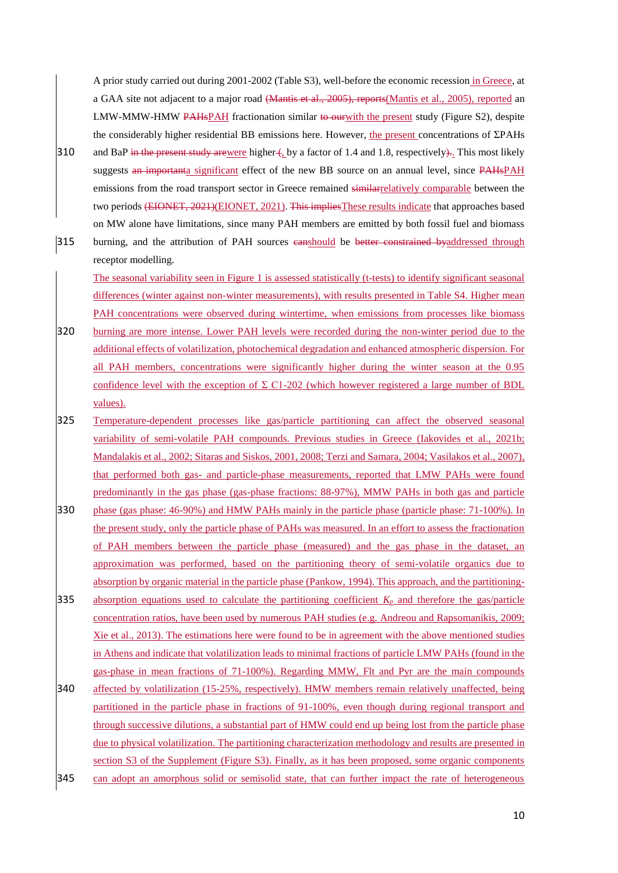A prior study carried out during 2001-2002 (Table S3), well-before the economic recession in Greece, at a GAA site not adjacent to a major road (Mantis et al., 2005), reports(Mantis et al., 2005), reported an LMW-MMW-HMW PAHsPAH fractionation similar to our with the present study (Figure S2), despite the considerably higher residential BB emissions here. However, the present concentrations of ΣPAHs

- 310 and BaP in the present study arewere higher  $\left($ , by a factor of 1.4 and 1.8, respectively $\right)$ . This most likely suggests an importanta significant effect of the new BB source on an annual level, since PAHsPAH emissions from the road transport sector in Greece remained similarrelatively comparable between the two periods (EIONET, 2021)(EIONET, 2021). This impliesThese results indicate that approaches based on MW alone have limitations, since many PAH members are emitted by both fossil fuel and biomass
- 315 burning, and the attribution of PAH sources eanshould be better constrained byaddressed through receptor modelling.

The seasonal variability seen in Figure 1 is assessed statistically (t-tests) to identify significant seasonal differences (winter against non-winter measurements), with results presented in Table S4. Higher mean PAH concentrations were observed during wintertime, when emissions from processes like biomass

320 burning are more intense. Lower PAH levels were recorded during the non-winter period due to the additional effects of volatilization, photochemical degradation and enhanced atmospheric dispersion. For all PAH members, concentrations were significantly higher during the winter season at the 0.95 confidence level with the exception of  $\Sigma$  C1-202 (which however registered a large number of BDL values).

- 325 Temperature-dependent processes like gas/particle partitioning can affect the observed seasonal variability of semi-volatile PAH compounds. Previous studies in Greece (Iakovides et al., 2021b; Mandalakis et al., 2002; Sitaras and Siskos, 2001, 2008; Terzi and Samara, 2004; Vasilakos et al., 2007), that performed both gas- and particle-phase measurements, reported that LMW PAHs were found predominantly in the gas phase (gas-phase fractions: 88-97%), MMW PAHs in both gas and particle
- 330 phase (gas phase: 46-90%) and HMW PAHs mainly in the particle phase (particle phase: 71-100%). In the present study, only the particle phase of PAHs was measured. In an effort to assess the fractionation of PAH members between the particle phase (measured) and the gas phase in the dataset, an approximation was performed, based on the partitioning theory of semi-volatile organics due to absorption by organic material in the particle phase (Pankow, 1994). This approach, and the partitioning-
- 335 absorption equations used to calculate the partitioning coefficient  $K_p$  and therefore the gas/particle concentration ratios, have been used by numerous PAH studies (e.g. Andreou and Rapsomanikis, 2009; Xie et al., 2013). The estimations here were found to be in agreement with the above mentioned studies in Athens and indicate that volatilization leads to minimal fractions of particle LMW PAHs (found in the gas-phase in mean fractions of 71-100%). Regarding MMW, Flt and Pyr are the main compounds
- 340 affected by volatilization (15-25%, respectively). HMW members remain relatively unaffected, being partitioned in the particle phase in fractions of 91-100%, even though during regional transport and through successive dilutions, a substantial part of HMW could end up being lost from the particle phase due to physical volatilization. The partitioning characterization methodology and results are presented in section S3 of the Supplement (Figure S3). Finally, as it has been proposed, some organic components 345 can adopt an amorphous solid or semisolid state, that can further impact the rate of heterogeneous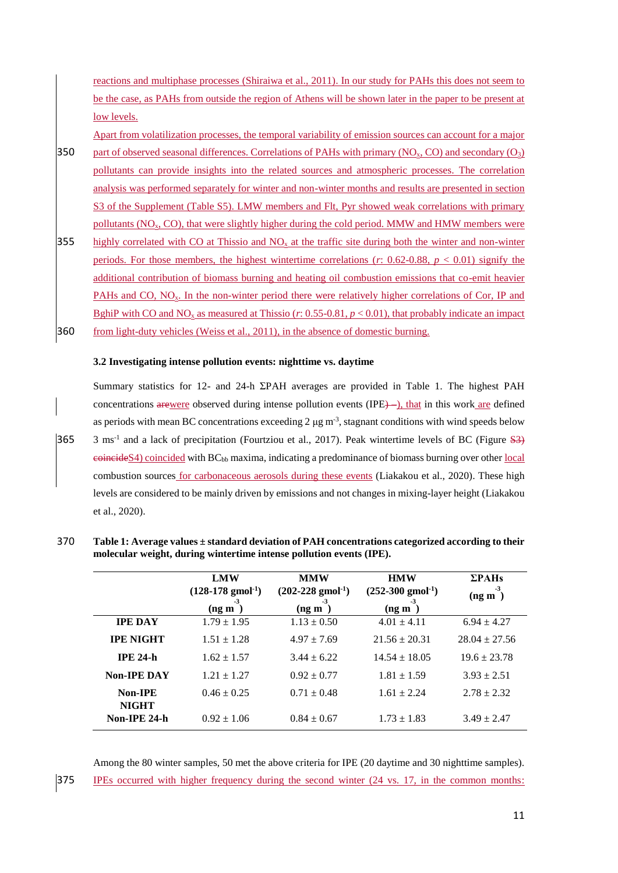reactions and multiphase processes (Shiraiwa et al., 2011). Ιn our study for PAHs this does not seem to be the case, as PAHs from outside the region of Athens will be shown later in the paper to be present at low levels.

Apart from volatilization processes, the temporal variability of emission sources can account for a major

- 350 part of observed seasonal differences. Correlations of PAHs with primary  $(NO<sub>x</sub>, CO)$  and secondary  $(O<sub>3</sub>)$ pollutants can provide insights into the related sources and atmospheric processes. The correlation analysis was performed separately for winter and non-winter months and results are presented in section S3 of the Supplement (Table S5). LMW members and Flt, Pyr showed weak correlations with primary pollutants (NOx, CO), that were slightly higher during the cold period. MMW and HMW members were
- 355 highly correlated with CO at Thissio and  $NO<sub>x</sub>$  at the traffic site during both the winter and non-winter periods. For those members, the highest wintertime correlations ( $r$ : 0.62-0.88,  $p < 0.01$ ) signify the additional contribution of biomass burning and heating oil combustion emissions that co-emit heavier PAHs and CO, NO<sub>x</sub>. In the non-winter period there were relatively higher correlations of Cor, IP and BghiP with CO and NO<sub>x</sub> as measured at Thissio (*r*: 0.55-0.81,  $p < 0.01$ ), that probably indicate an impact 360 from light-duty vehicles (Weiss et al., 2011), in the absence of domestic burning.

#### **3.2 Investigating intense pollution events: nighttime vs. daytime**

Summary statistics for 12- and 24-h ΣPAH averages are provided in Table 1. The highest PAH concentrations arewere observed during intense pollution events (IPE)—), that in this work are defined as periods with mean BC concentrations exceeding  $2 \mu g m^{-3}$ , stagnant conditions with wind speeds below 365 3 ms<sup>-1</sup> and a lack of precipitation (Fourtziou et al., 2017). Peak wintertime levels of BC (Figure  $\frac{12}{3}$ )  $e$ **oincide**S4) coincided with BC<sub>bb</sub> maxima, indicating a predominance of biomass burning over other local combustion sources for carbonaceous aerosols during these events (Liakakou et al., 2020). These high levels are considered to be mainly driven by emissions and not changes in mixing-layer height (Liakakou et al., 2020).

| 370 | Table 1: Average values $\pm$ standard deviation of PAH concentrations categorized according to their |
|-----|-------------------------------------------------------------------------------------------------------|
|     | molecular weight, during wintertime intense pollution events (IPE).                                   |

|                              | <b>LMW</b>                                  | <b>MMW</b>                            | <b>HMW</b>                            | $\Sigma$ PAHs<br>-3 |
|------------------------------|---------------------------------------------|---------------------------------------|---------------------------------------|---------------------|
|                              | $(128-178 \text{ g} \text{mol}^{-1})$<br>-3 | $(202-228$ gmol <sup>-1</sup> )<br>-3 | $(252-300 \text{ g} \text{mol}^{-1})$ | $($ ng m            |
| <b>IPE DAY</b>               | $($ ng m<br>$1.79 \pm 1.95$                 | $($ ng m $)$<br>$1.13 \pm 0.50$       | $($ ng m<br>$4.01 \pm 4.11$           | $6.94 \pm 4.27$     |
| <b>IPE NIGHT</b>             | $1.51 \pm 1.28$                             | $4.97 \pm 7.69$                       | $21.56 \pm 20.31$                     | $28.04 \pm 27.56$   |
| <b>IPE 24-h</b>              | $1.62 \pm 1.57$                             | $3.44 \pm 6.22$                       | $14.54 \pm 18.05$                     | $19.6 \pm 23.78$    |
| <b>Non-IPE DAY</b>           | $1.21 + 1.27$                               | $0.92 \pm 0.77$                       | $1.81 \pm 1.59$                       | $3.93 \pm 2.51$     |
| Non-IPE                      | $0.46 \pm 0.25$                             | $0.71 \pm 0.48$                       | $1.61 \pm 2.24$                       | $2.78 \pm 2.32$     |
| <b>NIGHT</b><br>Non-IPE 24-h | $0.92 \pm 1.06$                             | $0.84 \pm 0.67$                       | $1.73 \pm 1.83$                       | $3.49 \pm 2.47$     |

Among the 80 winter samples, 50 met the above criteria for IPE (20 daytime and 30 nighttime samples). 375 IPEs occurred with higher frequency during the second winter (24 vs. 17, in the common months: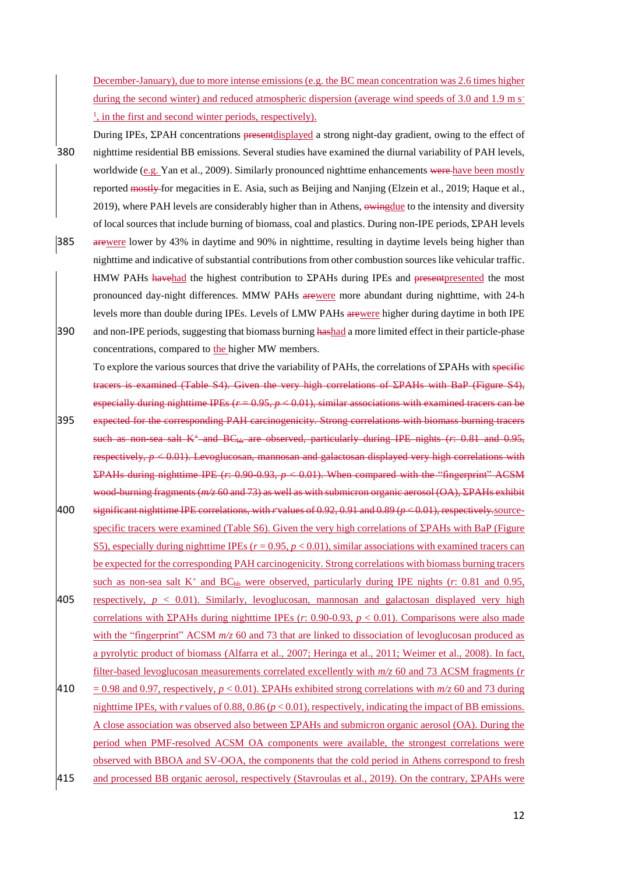December-January), due to more intense emissions (e.g. the BC mean concentration was 2.6 times higher during the second winter) and reduced atmospheric dispersion (average wind speeds of 3.0 and 1.9 m s<sup>-</sup> <sup>1</sup>, in the first and second winter periods, respectively).

- During IPEs, ΣPAH concentrations presentdisplayed a strong night-day gradient, owing to the effect of 380 nighttime residential BB emissions. Several studies have examined the diurnal variability of PAH levels, worldwide (e.g. Yan et al., 2009). Similarly pronounced nighttime enhancements were have been mostly reported mostly for megacities in E. Asia, such as Beijing and Nanjing (Elzein et al., 2019; Haque et al., 2019), where PAH levels are considerably higher than in Athens, owing due to the intensity and diversity of local sources that include burning of biomass, coal and plastics. During non-IPE periods, ΣPAH levels
- 385 arewere lower by 43% in daytime and 90% in nighttime, resulting in daytime levels being higher than nighttime and indicative of substantial contributions from other combustion sources like vehicular traffic. HMW PAHs havehad the highest contribution to ΣPAHs during IPEs and present presented the most pronounced day-night differences. MMW PAHs arewere more abundant during nighttime, with 24-h levels more than double during IPEs. Levels of LMW PAHs arewere higher during daytime in both IPE 390 and non-IPE periods, suggesting that biomass burning hashad a more limited effect in their particle-phase concentrations, compared to the higher MW members.
- To explore the various sources that drive the variability of PAHs, the correlations of ΣPAHs with specific tracers is examined (Table S4). Given the very high correlations of ΣPAHs with BaP (Figure S4), especially during nighttime IPEs  $(r = 0.95, p < 0.01)$ , similar associations with examined tracers can be 395 expected for the corresponding PAH carcinogenicity. Strong correlations with biomass burning tracers such as non-sea salt K<sup>+</sup> and BC<sub>bb</sub> are observed, particularly during IPE nights (*r*: 0.81 and 0.95, respectively, *p* < 0.01). Levoglucosan, mannosan and galactosan displayed very high correlations with ΣPAHs during nighttime IPE (*r*: 0.90-0.93, *p* < 0.01). When compared with the "fingerprint" ACSM wood-burning fragments (*m/z* 60 and 73) as well as with submicron organic aerosol (OA), ΣPAHs exhibit 400 significant nighttime IPE correlations, with *r* values of 0.92, 0.91 and 0.89 (*p* < 0.01), respectively.source-
- specific tracers were examined (Table S6). Given the very high correlations of ΣPAHs with BaP (Figure S5), especially during nighttime IPEs  $(r = 0.95, p < 0.01)$ , similar associations with examined tracers can be expected for the corresponding PAH carcinogenicity. Strong correlations with biomass burning tracers such as non-sea salt K<sup>+</sup> and BC<sub>bb</sub> were observed, particularly during IPE nights (*r*: 0.81 and 0.95,
- 405 respectively, *p* < 0.01). Similarly, levoglucosan, mannosan and galactosan displayed very high correlations with ΣPAHs during nighttime IPEs (*r*: 0.90-0.93, *p* < 0.01). Comparisons were also made with the "fingerprint" ACSM  $m/z$  60 and 73 that are linked to dissociation of levoglucosan produced as a pyrolytic product of biomass (Alfarra et al., 2007; Heringa et al., 2011; Weimer et al., 2008). In fact, filter-based levoglucosan measurements correlated excellently with *m/z* 60 and 73 ACSM fragments (*r*
- 410 = 0.98 and 0.97, respectively,  $p < 0.01$ ). ΣPAHs exhibited strong correlations with  $m/z$  60 and 73 during nighttime IPEs, with *r* values of 0.88, 0.86 ( $p < 0.01$ ), respectively, indicating the impact of BB emissions. A close association was observed also between ΣPAHs and submicron organic aerosol (OA). During the period when PMF-resolved ACSM OA components were available, the strongest correlations were observed with BBOA and SV-OOA, the components that the cold period in Athens correspond to fresh 415 and processed BB organic aerosol, respectively (Stavroulas et al., 2019). On the contrary, ΣPAHs were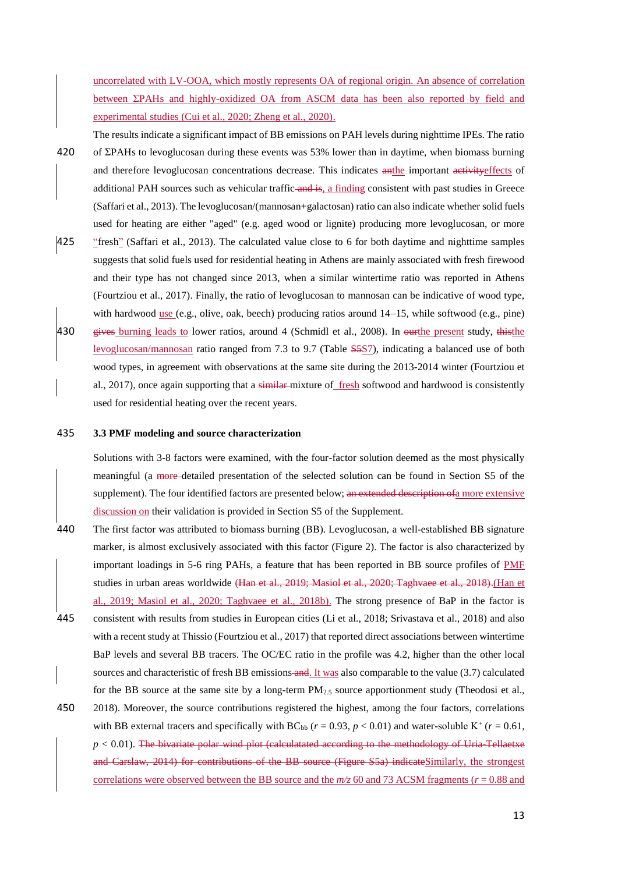uncorrelated with LV-OOA, which mostly represents OA of regional origin. An absence of correlation between ΣPAHs and highly-oxidized OA from ASCM data has been also reported by field and experimental studies (Cui et al., 2020; Zheng et al., 2020).

The results indicate a significant impact of BB emissions on PAH levels during nighttime IPEs. The ratio 420 of ΣPAHs to levoglucosan during these events was 53% lower than in daytime, when biomass burning and therefore levoglucosan concentrations decrease. This indicates anthe important activity effects of additional PAH sources such as vehicular traffic-and is, a finding consistent with past studies in Greece (Saffari et al., 2013). The levoglucosan/(mannosan+galactosan) ratio can also indicate whether solid fuels used for heating are either "aged" (e.g. aged wood or lignite) producing more levoglucosan, or more

425 "fresh" (Saffari et al., 2013). The calculated value close to 6 for both daytime and nighttime samples suggests that solid fuels used for residential heating in Athens are mainly associated with fresh firewood and their type has not changed since 2013, when a similar wintertime ratio was reported in Athens (Fourtziou et al., 2017). Finally, the ratio of levoglucosan to mannosan can be indicative of wood type, with hardwood use (e.g., olive, oak, beech) producing ratios around 14–15, while softwood (e.g., pine) 430 gives burning leads to lower ratios, around 4 (Schmidl et al., 2008). In ourthe present study, thisthe

levoglucosan/mannosan ratio ranged from 7.3 tο 9.7 (Table S5S7), indicating a balanced use of both wood types, in agreement with observations at the same site during the 2013-2014 winter (Fourtziou et al., 2017), once again supporting that a similar-mixture of fresh softwood and hardwood is consistently used for residential heating over the recent years.

#### 435 **3.3 PMF modeling and source characterization**

Solutions with 3-8 factors were examined, with the four-factor solution deemed as the most physically meaningful (a more detailed presentation of the selected solution can be found in Section S5 of the supplement). The four identified factors are presented below; an extended description of a more extensive discussion on their validation is provided in Section S5 of the Supplement.

- 440 The first factor was attributed to biomass burning (BB). Levoglucosan, a well-established BB signature marker, is almost exclusively associated with this factor (Figure 2). The factor is also characterized by important loadings in 5-6 ring PAHs, a feature that has been reported in BB source profiles of PMF studies in urban areas worldwide (Han et al., 2019; Masiol et al., 2020; Taghvaee et al., 2018).(Han et al., 2019; Masiol et al., 2020; Taghvaee et al., 2018b). The strong presence of BaP in the factor is
- 445 consistent with results from studies in European cities (Li et al., 2018; Srivastava et al., 2018) and also with a recent study at Thissio (Fourtziou et al., 2017) that reported direct associations between wintertime BaP levels and several BB tracers. The OC/EC ratio in the profile was 4.2, higher than the other local sources and characteristic of fresh BB emissions and. It was also comparable to the value (3.7) calculated for the BB source at the same site by a long-term  $PM_2$ , source apportionment study (Theodosi et al.,
- 450 2018). Moreover, the source contributions registered the highest, among the four factors, correlations with BB external tracers and specifically with  $BC_{bb}$   $(r = 0.93, p < 0.01)$  and water-soluble  $K^+$   $(r = 0.61,$  $p < 0.01$ ). The bivariate polar wind plot (calculatated according to the methodology of Uria Tellaetxe and Carslaw, 2014) for contributions of the BB source (Figure S5a) indicateSimilarly, the strongest correlations were observed between the BB source and the  $m/z$  60 and 73 ACSM fragments ( $r = 0.88$  and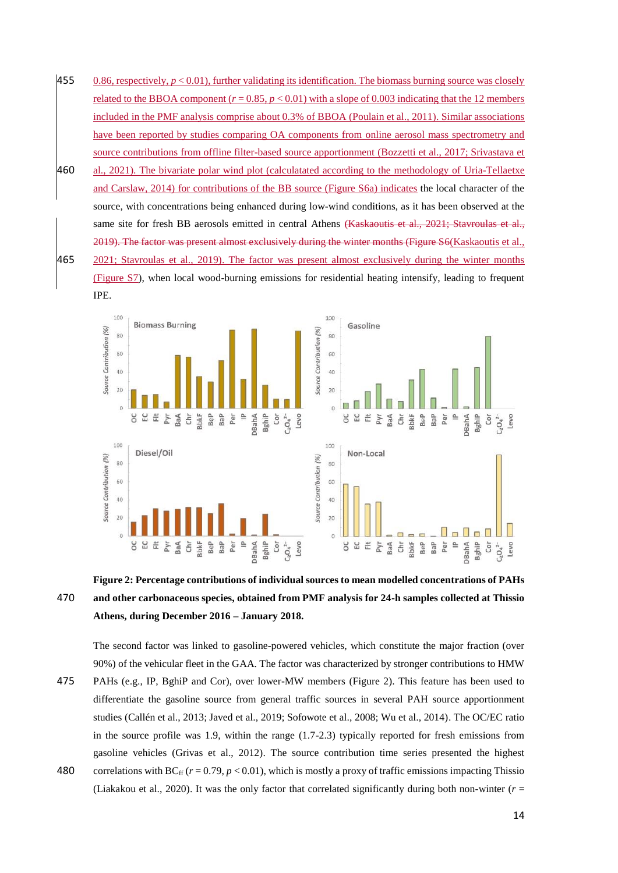- 455 0.86, respectively,  $p < 0.01$ ), further validating its identification. The biomass burning source was closely related to the BBOA component  $(r = 0.85, p < 0.01)$  with a slope of 0.003 indicating that the 12 members included in the PMF analysis comprise about 0.3% of BBOA (Poulain et al., 2011). Similar associations have been reported by studies comparing OA components from online aerosol mass spectrometry and source contributions from offline filter-based source apportionment (Bozzetti et al., 2017; Srivastava et
- 460 al., 2021). The bivariate polar wind plot (calculatated according to the methodology of Uria-Tellaetxe and Carslaw, 2014) for contributions of the BB source (Figure S6a) indicates the local character of the source, with concentrations being enhanced during low-wind conditions, as it has been observed at the same site for fresh BB aerosols emitted in central Athens (Kaskaoutis et al., 2021; Stavroulas et al., 2019). The factor was present almost exclusively during the winter months (Figure S6(Kaskaoutis et al., 465 2021; Stavroulas et al., 2019). The factor was present almost exclusively during the winter months (Figure S7), when local wood-burning emissions for residential heating intensify, leading to frequent



# **Figure 2: Percentage contributions of individual sources to mean modelled concentrations of PAHs**  470 **and other carbonaceous species, obtained from PMF analysis for 24-h samples collected at Thissio Athens, during December 2016 – January 2018.**

The second factor was linked to gasoline-powered vehicles, which constitute the major fraction (over 90%) of the vehicular fleet in the GAA. The factor was characterized by stronger contributions to HMW 475 PAHs (e.g., IP, BghiP and Cor), over lower-MW members (Figure 2). This feature has been used to differentiate the gasoline source from general traffic sources in several PAH source apportionment

- studies (Callén et al., 2013; Javed et al., 2019; Sofowote et al., 2008; Wu et al., 2014). The OC/EC ratio in the source profile was 1.9, within the range (1.7-2.3) typically reported for fresh emissions from gasoline vehicles (Grivas et al., 2012). The source contribution time series presented the highest 480 correlations with  $BC_{ff}$  ( $r = 0.79$ ,  $p < 0.01$ ), which is mostly a proxy of traffic emissions impacting Thissio
- (Liakakou et al., 2020). It was the only factor that correlated significantly during both non-winter  $(r =$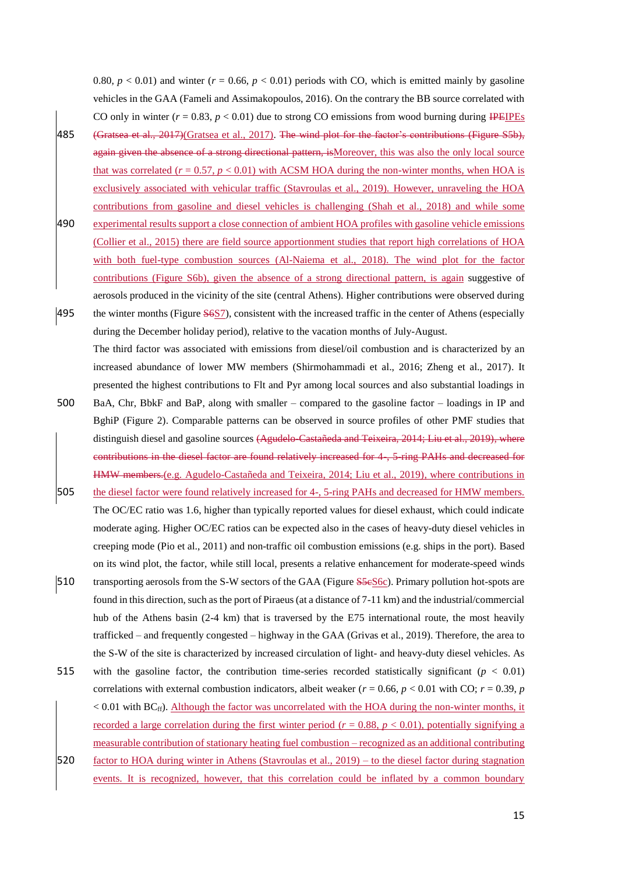0.80,  $p < 0.01$ ) and winter ( $r = 0.66$ ,  $p < 0.01$ ) periods with CO, which is emitted mainly by gasoline vehicles in the GAA (Fameli and Assimakopoulos, 2016). On the contrary the BB source correlated with CO only in winter  $(r = 0.83, p < 0.01)$  due to strong CO emissions from wood burning during IPEIPEs

- 485 (Gratsea et al., 2017)(Gratsea et al., 2017). The wind plot for the factor's contributions (Figure S5b), again given the absence of a strong directional pattern, is Moreover, this was also the only local source that was correlated  $(r = 0.57, p < 0.01)$  with ACSM HOA during the non-winter months, when HOA is exclusively associated with vehicular traffic (Stavroulas et al., 2019). However, unraveling the HOA contributions from gasoline and diesel vehicles is challenging (Shah et al., 2018) and while some
- 490 experimental results support a close connection of ambient HOA profiles with gasoline vehicle emissions (Collier et al., 2015) there are field source apportionment studies that report high correlations of HOA with both fuel-type combustion sources (Al-Naiema et al., 2018). The wind plot for the factor contributions (Figure S6b), given the absence of a strong directional pattern, is again suggestive of aerosols produced in the vicinity of the site (central Athens). Higher contributions were observed during
- 495 the winter months (Figure  $\frac{5657}{2}$ , consistent with the increased traffic in the center of Athens (especially during the December holiday period), relative to the vacation months of July-August. The third factor was associated with emissions from diesel/oil combustion and is characterized by an increased abundance of lower MW members (Shirmohammadi et al., 2016; Zheng et al., 2017). It presented the highest contributions to Flt and Pyr among local sources and also substantial loadings in
- 500 BaA, Chr, BbkF and BaP, along with smaller compared to the gasoline factor loadings in IP and BghiP (Figure 2). Comparable patterns can be observed in source profiles of other PMF studies that distinguish diesel and gasoline sources (Agudelo-Castañeda and Teixeira, 2014; Liu et al., 2019), where contributions in the diesel factor are found relatively increased for 4-, 5-ring PAHs and decreased for HMW members.(e.g. Agudelo-Castañeda and Teixeira, 2014; Liu et al., 2019), where contributions in
- 505 the diesel factor were found relatively increased for 4-, 5-ring PAHs and decreased for HMW members. The OC/EC ratio was 1.6, higher than typically reported values for diesel exhaust, which could indicate moderate aging. Higher OC/EC ratios can be expected also in the cases of heavy-duty diesel vehicles in creeping mode (Pio et al., 2011) and non-traffic oil combustion emissions (e.g. ships in the port). Based
- on its wind plot, the factor, while still local, presents a relative enhancement for moderate-speed winds 510 transporting aerosols from the S-W sectors of the GAA (Figure S5cS6c). Primary pollution hot-spots are found in this direction, such as the port of Piraeus (at a distance of 7-11 km) and the industrial/commercial hub of the Athens basin (2-4 km) that is traversed by the E75 international route, the most heavily trafficked – and frequently congested – highway in the GAA (Grivas et al., 2019). Therefore, the area to the S-W of the site is characterized by increased circulation of light- and heavy-duty diesel vehicles. As
- 515 with the gasoline factor, the contribution time-series recorded statistically significant  $(p < 0.01)$ correlations with external combustion indicators, albeit weaker ( $r = 0.66$ ,  $p < 0.01$  with CO;  $r = 0.39$ , *p*  $< 0.01$  with BC $_{\rm ff}$ ). Although the factor was uncorrelated with the HOA during the non-winter months, it recorded a large correlation during the first winter period  $(r = 0.88, p < 0.01)$ , potentially signifying a measurable contribution of stationary heating fuel combustion – recognized as an additional contributing 520 factor to HOA during winter in Athens (Stavroulas et al., 2019) – to the diesel factor during stagnation events. It is recognized, however, that this correlation could be inflated by a common boundary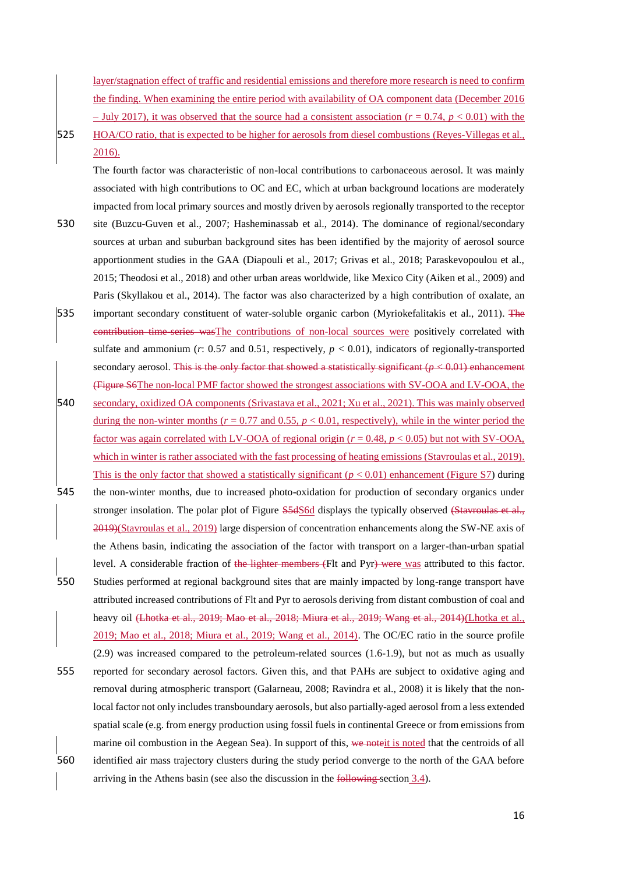layer/stagnation effect of traffic and residential emissions and therefore more research is need to confirm the finding. When examining the entire period with availability of OA component data (December 2016  $-$  July 2017), it was observed that the source had a consistent association ( $r = 0.74$ ,  $p < 0.01$ ) with the

525 HOA/CO ratio, that is expected to be higher for aerosols from diesel combustions (Reyes-Villegas et al., 2016).

The fourth factor was characteristic of non-local contributions to carbonaceous aerosol. It was mainly associated with high contributions to OC and EC, which at urban background locations are moderately impacted from local primary sources and mostly driven by aerosols regionally transported to the receptor

- 530 site (Buzcu-Guven et al., 2007; Hasheminassab et al., 2014). The dominance of regional/secondary sources at urban and suburban background sites has been identified by the majority of aerosol source apportionment studies in the GAA (Diapouli et al., 2017; Grivas et al., 2018; Paraskevopoulou et al., 2015; Theodosi et al., 2018) and other urban areas worldwide, like Mexico City (Aiken et al., 2009) and Paris (Skyllakou et al., 2014). The factor was also characterized by a high contribution of oxalate, an
- 535 important secondary constituent of water-soluble organic carbon (Myriokefalitakis et al., 2011). The contribution time-series wasThe contributions of non-local sources were positively correlated with sulfate and ammonium ( $r$ : 0.57 and 0.51, respectively,  $p < 0.01$ ), indicators of regionally-transported secondary aerosol. This is the only factor that showed a statistically significant  $(p < 0.01)$  enhancement (Figure S6The non-local PMF factor showed the strongest associations with SV-OOA and LV-OOA, the 540 secondary, oxidized OA components (Srivastava et al., 2021; Xu et al., 2021). This was mainly observed during the non-winter months ( $r = 0.77$  and 0.55,  $p < 0.01$ , respectively), while in the winter period the factor was again correlated with LV-OOA of regional origin  $(r = 0.48, p < 0.05)$  but not with SV-OOA, which in winter is rather associated with the fast processing of heating emissions (Stavroulas et al., 2019).
- This is the only factor that showed a statistically significant  $(p < 0.01)$  enhancement (Figure S7) during
- 545 the non-winter months, due to increased photo-oxidation for production of secondary organics under stronger insolation. The polar plot of Figure S5dS6d displays the typically observed (Stavroulas et al., 2019)(Stavroulas et al., 2019) large dispersion of concentration enhancements along the SW-NE axis of the Athens basin, indicating the association of the factor with transport on a larger-than-urban spatial level. A considerable fraction of the lighter members (Flt and Pyr) were was attributed to this factor.
- 550 Studies performed at regional background sites that are mainly impacted by long-range transport have attributed increased contributions of Flt and Pyr to aerosols deriving from distant combustion of coal and heavy oil (Lhotka et al., 2019; Mao et al., 2018; Miura et al., 2019; Wang et al., 2014)(Lhotka et al., 2019; Mao et al., 2018; Miura et al., 2019; Wang et al., 2014). The OC/EC ratio in the source profile
- (2.9) was increased compared to the petroleum-related sources (1.6-1.9), but not as much as usually 555 reported for secondary aerosol factors. Given this, and that PAHs are subject to oxidative aging and removal during atmospheric transport (Galarneau, 2008; Ravindra et al., 2008) it is likely that the nonlocal factor not only includes transboundary aerosols, but also partially-aged aerosol from a less extended spatial scale (e.g. from energy production using fossil fuels in continental Greece or from emissions from marine oil combustion in the Aegean Sea). In support of this, we note it is noted that the centroids of all 560 identified air mass trajectory clusters during the study period converge to the north of the GAA before arriving in the Athens basin (see also the discussion in the following section 3.4).
	- 16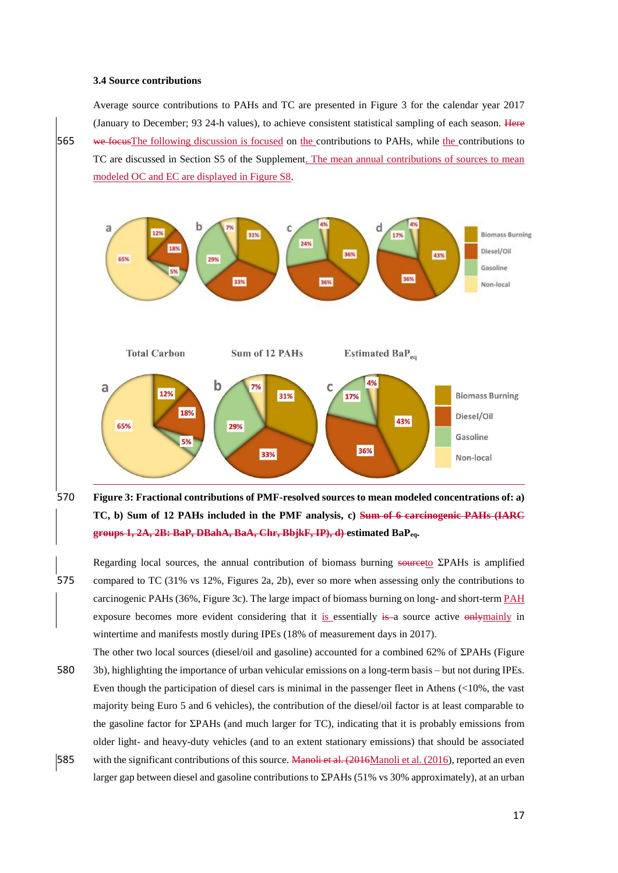#### **3.4 Source contributions**

Average source contributions to PAHs and TC are presented in Figure 3 for the calendar year 2017 (January to December; 93 24-h values), to achieve consistent statistical sampling of each season. Here 565 we focusThe following discussion is focused on the contributions to PAHs, while the contributions to TC are discussed in Section S5 of the Supplement. The mean annual contributions of sources to mean modeled OC and EC are displayed in Figure S8.



570 **Figure 3: Fractional contributions of PMF-resolved sources to mean modeled concentrations of: a) TC, b) Sum of 12 PAHs included in the PMF analysis, c) Sum of 6 carcinogenic PAHs (IARC groups 1, 2A, 2B: BaP, DBahA, BaA, Chr, BbjkF, IP), d) estimated BaPeq.**

- Regarding local sources, the annual contribution of biomass burning sourceto ΣPAHs is amplified 575 compared to TC (31% vs 12%, Figures 2a, 2b), ever so more when assessing only the contributions to carcinogenic PAHs (36%, Figure 3c). The large impact of biomass burning on long- and short-term PAH exposure becomes more evident considering that it is essentially is a source active only mainly in wintertime and manifests mostly during IPEs (18% of measurement days in 2017).
- The other two local sources (diesel/oil and gasoline) accounted for a combined 62% of ΣPAHs (Figure 580 3b), highlighting the importance of urban vehicular emissions on a long-term basis – but not during IPEs. Even though the participation of diesel cars is minimal in the passenger fleet in Athens (<10%, the vast majority being Euro 5 and 6 vehicles), the contribution of the diesel/oil factor is at least comparable to the gasoline factor for ΣPAHs (and much larger for TC), indicating that it is probably emissions from older light- and heavy-duty vehicles (and to an extent stationary emissions) that should be associated 585 with the significant contributions of this source. Manoli et al. (2016Manoli et al. (2016), reported an even
- larger gap between diesel and gasoline contributions to ΣPAHs (51% vs 30% approximately), at an urban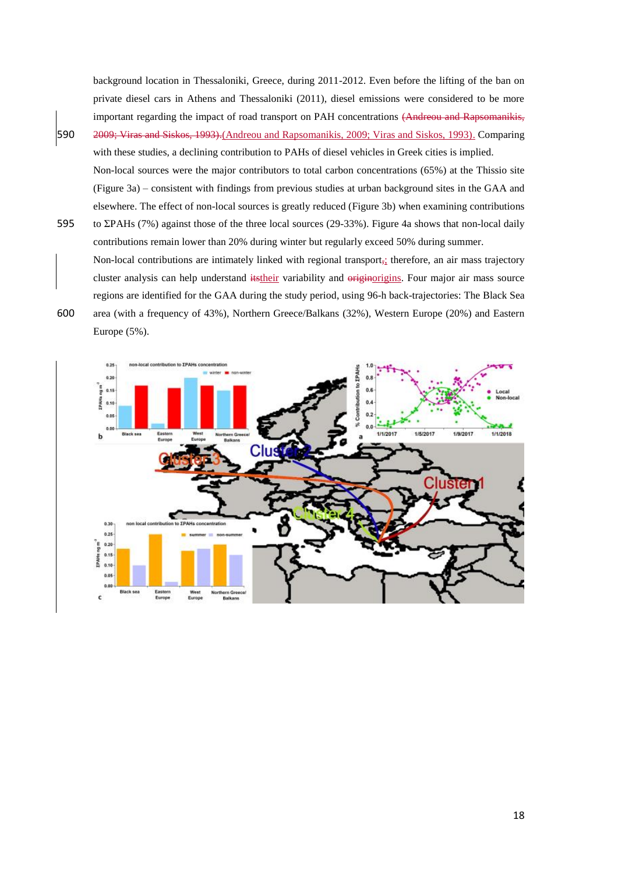background location in Thessaloniki, Greece, during 2011-2012. Even before the lifting of the ban on private diesel cars in Athens and Thessaloniki (2011), diesel emissions were considered to be more important regarding the impact of road transport on PAH concentrations (Andreou and Rapsomanikis,

- 590 2009; Viras and Siskos, 1993).(Andreou and Rapsomanikis, 2009; Viras and Siskos, 1993). Comparing with these studies, a declining contribution to PAHs of diesel vehicles in Greek cities is implied. Non-local sources were the major contributors to total carbon concentrations (65%) at the Thissio site (Figure 3a) – consistent with findings from previous studies at urban background sites in the GAA and elsewhere. The effect of non-local sources is greatly reduced (Figure 3b) when examining contributions
- 595 to ΣPAHs (7%) against those of the three local sources (29-33%). Figure 4a shows that non-local daily contributions remain lower than 20% during winter but regularly exceed 50% during summer. Non-local contributions are intimately linked with regional transport<sub> $\vec{i}$ </sub> therefore, an air mass trajectory cluster analysis can help understand itstheir variability and originorigins. Four major air mass source regions are identified for the GAA during the study period, using 96-h back-trajectories: The Black Sea
- 600 area (with a frequency of 43%), Northern Greece/Balkans (32%), Western Europe (20%) and Eastern Europe (5%).

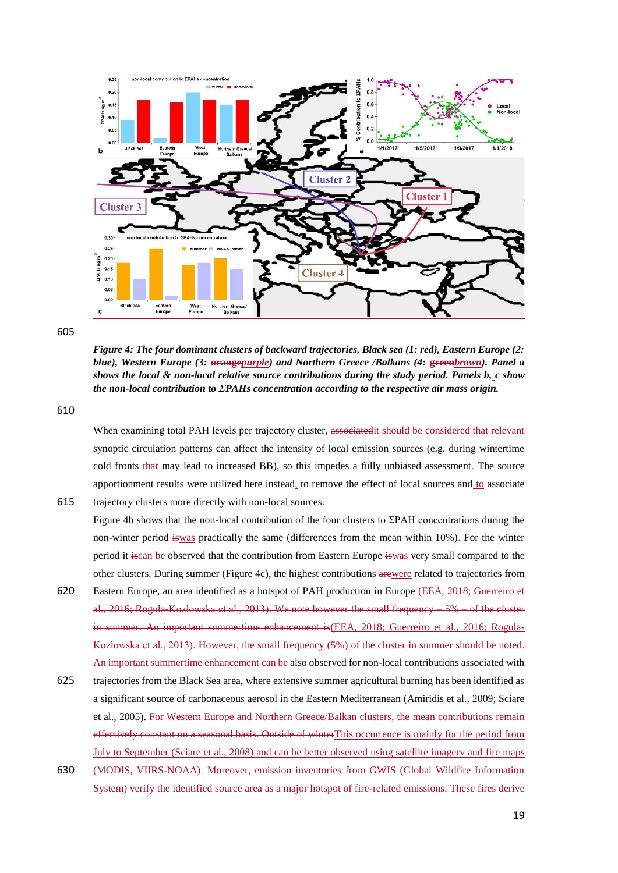

605

*Figure 4: The four dominant clusters of backward trajectories, Black sea (1: red), Eastern Europe (2: blue), Western Europe (3:* **orange***purple) and Northern Greece /Balkans (4:* **green***brown). Panel a shows the local & non-local relative source contributions during the study period. Panels b, c show the non-local contribution to ΣPAHs concentration according to the respective air mass origin.* 

610

When examining total PAH levels per trajectory cluster, associated it should be considered that relevant synoptic circulation patterns can affect the intensity of local emission sources (e.g. during wintertime cold fronts that may lead to increased BB), so this impedes a fully unbiased assessment. The source apportionment results were utilized here instead, to remove the effect of local sources and to associate 615 trajectory clusters more directly with non-local sources.

- Figure 4b shows that the non-local contribution of the four clusters to ΣPAH concentrations during the non-winter period iswas practically the same (differences from the mean within 10%). For the winter period it iscan be observed that the contribution from Eastern Europe iswas very small compared to the other clusters. During summer (Figure 4c), the highest contributions arewere related to trajectories from 620 Eastern Europe, an area identified as a hotspot of PAH production in Europe (EEA, 2018; Guerreiro et al., 2016; Rogula-Kozłowska et al., 2013). We note however the small frequency – 5% – of the cluster summer. An important summertime enhancement is(EEA, 2018; Guerreiro et al., 2016; Rogula-Kozłowska et al., 2013). However, the small frequency (5%) of the cluster in summer should be noted.
- 625 trajectories from the Black Sea area, where extensive summer agricultural burning has been identified as a significant source of carbonaceous aerosol in the Eastern Mediterranean (Amiridis et al., 2009; Sciare et al., 2005). For Western Europe and Northern Greece/Balkan clusters, the mean contributions remain effectively constant on a seasonal basis. Outside of winterThis occurrence is mainly for the period from July to September (Sciare et al., 2008) and can be better observed using satellite imagery and fire maps 630 (MODIS, VIIRS-NOAA). Moreover, emission inventories from GWIS (Global Wildfire Information

An important summertime enhancement can be also observed for non-local contributions associated with

System) verify the identified source area as a major hotspot of fire-related emissions. These fires derive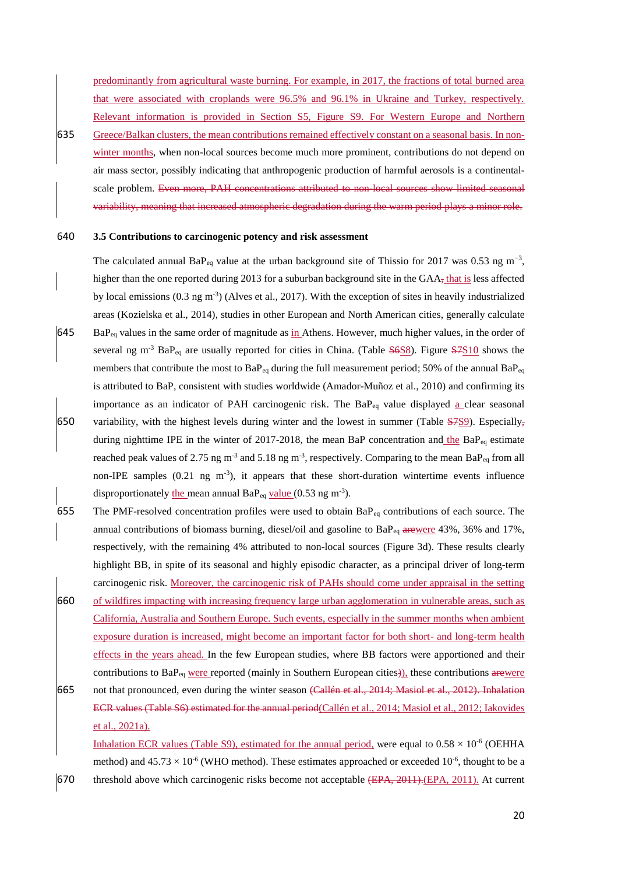predominantly from agricultural waste burning. For example, in 2017, the fractions of total burned area that were associated with croplands were 96.5% and 96.1% in Ukraine and Turkey, respectively. Relevant information is provided in Section S5, Figure S9. For Western Europe and Northern

635 Greece/Balkan clusters, the mean contributions remained effectively constant on a seasonal basis. In nonwinter months, when non-local sources become much more prominent, contributions do not depend on air mass sector, possibly indicating that anthropogenic production of harmful aerosols is a continentalscale problem. Even more, PAH concentrations attributed to non-local sources show limited seasonal variability, meaning that increased atmospheric degradation during the warm period plays a minor role.

### 640 **3.5 Contributions to carcinogenic potency and risk assessment**

The calculated annual BaP<sub>eq</sub> value at the urban background site of Thissio for 2017 was 0.53 ng m<sup>-3</sup>, higher than the one reported during 2013 for a suburban background site in the  $GAA<sub>5</sub>$  that is less affected by local emissions (0.3 ng m<sup>-3</sup>) (Alves et al., 2017). With the exception of sites in heavily industrialized areas (Kozielska et al., 2014), studies in other European and North American cities, generally calculate  $645$  BaP<sub>eq</sub> values in the same order of magnitude as in Athens. However, much higher values, in the order of several ng m<sup>-3</sup> BaP<sub>eq</sub> are usually reported for cities in China. (Table  $\frac{\text{S6SS}}{1}$ ). Figure  $\frac{\text{S7S10}}{1}$  shows the members that contribute the most to  $BaP_{eq}$  during the full measurement period; 50% of the annual  $BaP_{eq}$ is attributed to BaP, consistent with studies worldwide (Amador-Muñoz et al., 2010) and confirming its importance as an indicator of PAH carcinogenic risk. The  $BaP_{eq}$  value displayed a clear seasonal 650 variability, with the highest levels during winter and the lowest in summer (Table  $\frac{S7S9}{S}$ ). Especially, during nighttime IPE in the winter of 2017-2018, the mean BaP concentration and the BaP<sub>eq</sub> estimate reached peak values of 2.75 ng m<sup>-3</sup> and 5.18 ng m<sup>-3</sup>, respectively. Comparing to the mean BaP<sub>eq</sub> from all

- non-IPE samples  $(0.21 \text{ ng } \text{m}^3)$ , it appears that these short-duration wintertime events influence disproportionately the mean annual BaP<sub>eq</sub> value  $(0.53 \text{ ng m}^{-3})$ . 655 The PMF-resolved concentration profiles were used to obtain BaPeq contributions of each source. The
- annual contributions of biomass burning, diesel/oil and gasoline to  $BaP_{eq}$  arewere 43%, 36% and 17%, respectively, with the remaining 4% attributed to non-local sources (Figure 3d). These results clearly highlight BB, in spite of its seasonal and highly episodic character, as a principal driver of long-term carcinogenic risk. Moreover, the carcinogenic risk of PAHs should come under appraisal in the setting
- 660 of wildfires impacting with increasing frequency large urban agglomeration in vulnerable areas, such as California, Australia and Southern Europe. Such events, especially in the summer months when ambient exposure duration is increased, might become an important factor for both short- and long-term health effects in the years ahead. In the few European studies, where BB factors were apportioned and their contributions to BaP<sub>eq</sub> were reported (mainly in Southern European cities)), these contributions arewere
- 665 not that pronounced, even during the winter season (Callén et al., 2014; Masiol et al., 2012). Inhalation ECR values (Table S6) estimated for the annual period(Callén et al., 2014; Masiol et al., 2012; Iakovides et al., 2021a).

Inhalation ECR values (Table S9), estimated for the annual period, were equal to  $0.58 \times 10^{-6}$  (OEHHA method) and  $45.73 \times 10^{-6}$  (WHO method). These estimates approached or exceeded  $10^{-6}$ , thought to be a 670 threshold above which carcinogenic risks become not acceptable (EPA, 2011).(EPA, 2011). At current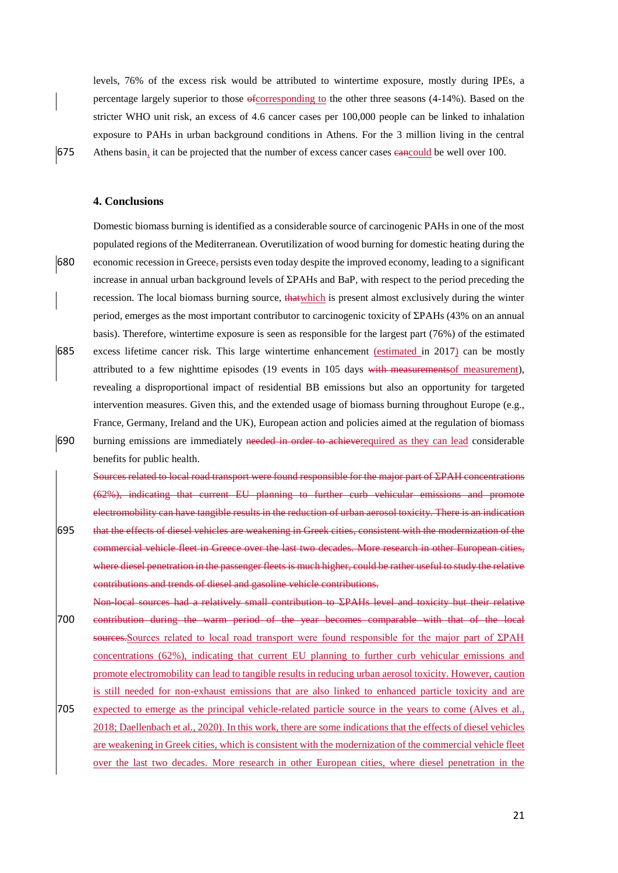levels, 76% of the excess risk would be attributed to wintertime exposure, mostly during IPEs, a percentage largely superior to those ofcorresponding to the other three seasons (4-14%). Based on the stricter WHO unit risk, an excess of 4.6 cancer cases per 100,000 people can be linked to inhalation exposure to PAHs in urban background conditions in Athens. For the 3 million living in the central 675 Athens basin, it can be projected that the number of excess cancer cases eancould be well over 100.

# **4. Conclusions**

Domestic biomass burning is identified as a considerable source of carcinogenic PAHs in one of the most populated regions of the Mediterranean. Overutilization of wood burning for domestic heating during the 680 economic recession in Greece, persists even today despite the improved economy, leading to a significant increase in annual urban background levels of ΣPAHs and BaP, with respect to the period preceding the recession. The local biomass burning source, that which is present almost exclusively during the winter period, emerges as the most important contributor to carcinogenic toxicity of ΣPAHs (43% on an annual basis). Therefore, wintertime exposure is seen as responsible for the largest part (76%) of the estimated 685 excess lifetime cancer risk. This large wintertime enhancement (estimated in 2017) can be mostly attributed to a few nighttime episodes (19 events in 105 days with measurementsof measurement), revealing a disproportional impact of residential BB emissions but also an opportunity for targeted intervention measures. Given this, and the extended usage of biomass burning throughout Europe (e.g., France, Germany, Ireland and the UK), European action and policies aimed at the regulation of biomass 690 burning emissions are immediately needed in order to achieverequired as they can lead considerable benefits for public health.

Sources related to local road transport were found responsible for the major part of ΣPAH concentrations (62%), indicating that current EU planning to further curb vehicular emissions and promote electromobility can have tangible results in the reduction of urban aerosol toxicity. There is an indication 695 that the effects of diesel vehicles are weakening in Greek cities, consistent with the modernization of the commercial vehicle fleet in Greece over the last two decades. More research in other European cities, where diesel penetration in the passenger fleets is much higher, could be rather useful to study the relative contributions and trends of diesel and gasoline vehicle contributions.

Non-local sources had a relatively small contribution to ΣPAHs level and toxicity but their relative 700 contribution during the warm period of the year becomes comparable with that of the local sources.Sources related to local road transport were found responsible for the major part of ΣPAH concentrations (62%), indicating that current EU planning to further curb vehicular emissions and promote electromobility can lead to tangible results in reducing urban aerosol toxicity. However, caution is still needed for non-exhaust emissions that are also linked to enhanced particle toxicity and are 705 expected to emerge as the principal vehicle-related particle source in the years to come (Alves et al.,

2018; Daellenbach et al., 2020). In this work, there are some indications that the effects of diesel vehicles are weakening in Greek cities, which is consistent with the modernization of the commercial vehicle fleet over the last two decades. More research in other European cities, where diesel penetration in the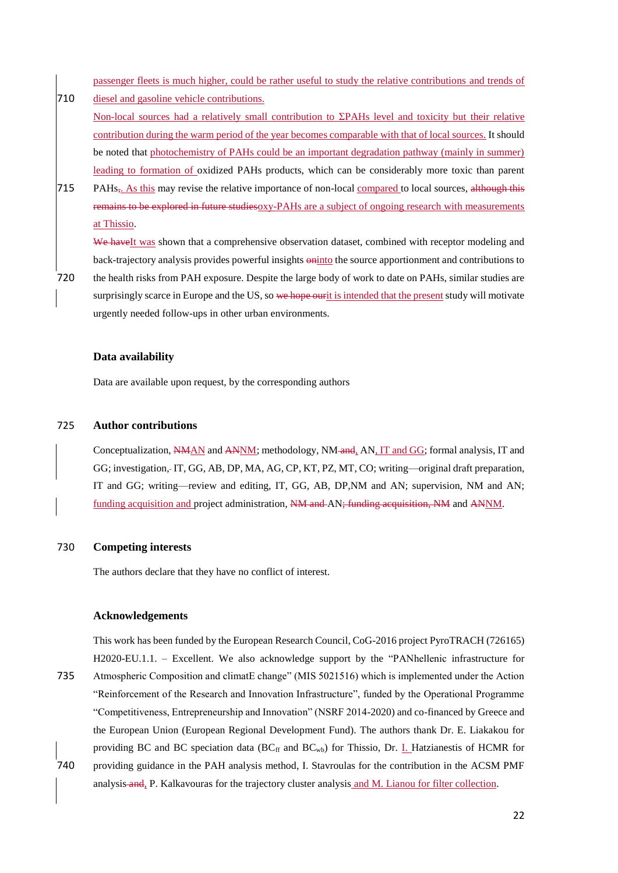passenger fleets is much higher, could be rather useful to study the relative contributions and trends of

- 710 diesel and gasoline vehicle contributions. Non-local sources had a relatively small contribution to ΣPAHs level and toxicity but their relative contribution during the warm period of the year becomes comparable with that of local sources. It should be noted that photochemistry of PAHs could be an important degradation pathway (mainly in summer) leading to formation of oxidized PAHs products, which can be considerably more toxic than parent
- 715 PAHs<sub>z</sub>. As this may revise the relative importance of non-local compared to local sources, although this remains to be explored in future studiesoxy-PAHs are a subject of ongoing research with measurements at Thissio.

We haveIt was shown that a comprehensive observation dataset, combined with receptor modeling and back-trajectory analysis provides powerful insights  $\frac{a_{\text{in}}}{b}$  the source apportionment and contributions to

720 the health risks from PAH exposure. Despite the large body of work to date on PAHs, similar studies are surprisingly scarce in Europe and the US, so we hope ourit is intended that the present study will motivate urgently needed follow-ups in other urban environments.

## **Data availability**

Data are available upon request, by the corresponding authors

# 725 **Author contributions**

Conceptualization, NMAN and ANNM; methodology, NM and, AN, IT and GG; formal analysis, IT and GG; investigation, IT, GG, AB, DP, MA, AG, CP, KT, PZ, MT, CO; writing—original draft preparation, IT and GG; writing—review and editing, IT, GG, AB, DP,NM and AN; supervision, NM and AN; funding acquisition and project administration, NM and AN; funding acquisition, NM and ANNM.

#### 730 **Competing interests**

The authors declare that they have no conflict of interest.

# **Acknowledgements**

This work has been funded by the European Research Council, CoG-2016 project PyroTRACH (726165) H2020-EU.1.1. – Excellent. We also acknowledge support by the "PANhellenic infrastructure for 735 Atmospheric Composition and climatE change" (MIS 5021516) which is implemented under the Action "Reinforcement of the Research and Innovation Infrastructure", funded by the Operational Programme "Competitiveness, Entrepreneurship and Innovation" (NSRF 2014-2020) and co-financed by Greece and the European Union (European Regional Development Fund). The authors thank Dr. E. Liakakou for providing BC and BC speciation data  $(BC<sub>ff</sub>$  and  $BC<sub>wb</sub>)$  for Thissio, Dr. I. Hatzianestis of HCMR for 740 providing guidance in the PAH analysis method, I. Stavroulas for the contribution in the ACSM PMF analysis and, P. Kalkavouras for the trajectory cluster analysis and M. Lianou for filter collection.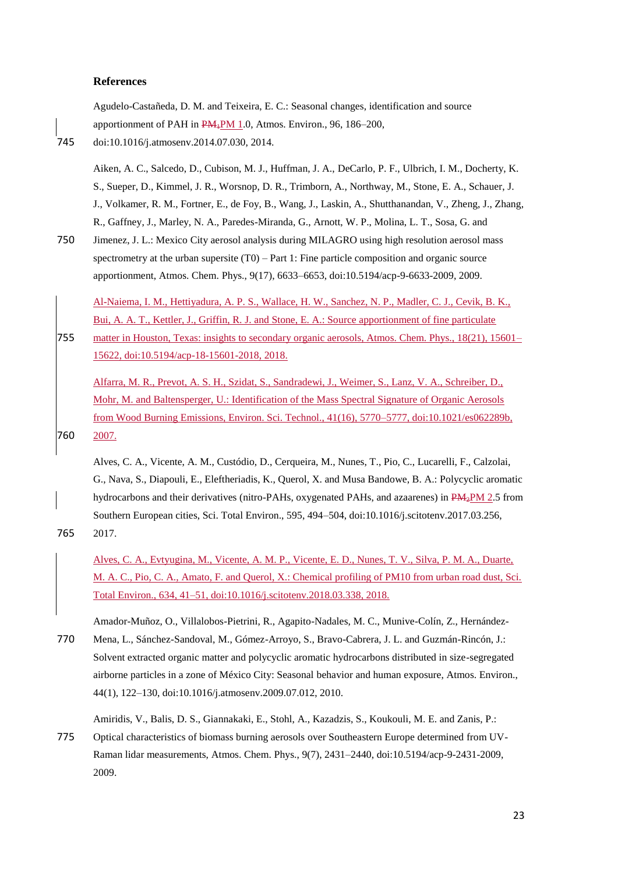#### **References**

|     | Agudelo-Castañeda, D. M. and Teixeira, E. C.: Seasonal changes, identification and source                       |
|-----|-----------------------------------------------------------------------------------------------------------------|
|     | apportionment of PAH in PM <sub>4</sub> PM 1.0, Atmos. Environ., 96, 186–200,                                   |
| 745 | doi:10.1016/j.atmosenv.2014.07.030, 2014.                                                                       |
|     | Aiken, A. C., Salcedo, D., Cubison, M. J., Huffman, J. A., DeCarlo, P. F., Ulbrich, I. M., Docherty, K.         |
|     | S., Sueper, D., Kimmel, J. R., Worsnop, D. R., Trimborn, A., Northway, M., Stone, E. A., Schauer, J.            |
|     | J., Volkamer, R. M., Fortner, E., de Foy, B., Wang, J., Laskin, A., Shutthanandan, V., Zheng, J., Zhang,        |
|     | R., Gaffney, J., Marley, N. A., Paredes-Miranda, G., Arnott, W. P., Molina, L. T., Sosa, G. and                 |
| 750 | Jimenez, J. L.: Mexico City aerosol analysis during MILAGRO using high resolution aerosol mass                  |
|     | spectrometry at the urban supersite $(T0)$ – Part 1: Fine particle composition and organic source               |
|     | apportionment, Atmos. Chem. Phys., 9(17), 6633–6653, doi:10.5194/acp-9-6633-2009, 2009.                         |
|     | Al-Naiema, I. M., Hettiyadura, A. P. S., Wallace, H. W., Sanchez, N. P., Madler, C. J., Cevik, B. K.,           |
|     | Bui, A. A. T., Kettler, J., Griffin, R. J. and Stone, E. A.: Source apportionment of fine particulate           |
| 755 | matter in Houston, Texas: insights to secondary organic aerosols, Atmos. Chem. Phys., 18(21), 15601–            |
|     | <u>15622, doi:10.5194/acp-18-15601-2018, 2018.</u>                                                              |
|     | Alfarra, M. R., Prevot, A. S. H., Szidat, S., Sandradewi, J., Weimer, S., Lanz, V. A., Schreiber, D.,           |
|     | Mohr, M. and Baltensperger, U.: Identification of the Mass Spectral Signature of Organic Aerosols               |
|     | from Wood Burning Emissions, Environ. Sci. Technol., 41(16), 5770–5777, doi:10.1021/es062289b,                  |
| 760 | 2007.                                                                                                           |
|     | Alves, C. A., Vicente, A. M., Custódio, D., Cerqueira, M., Nunes, T., Pio, C., Lucarelli, F., Calzolai,         |
|     | $C$ More $C$ Diagonal $D$ Eleftratedia $V$ Orient $V$ and $M_{\text{max}}$ Dandonic D. A. Defineration consider |

G., Nava, S., Diapouli, E., Eleftheriadis, K., Querol, X. and Musa Bandowe, B. A.: Polycyclic aromatic hydrocarbons and their derivatives (nitro-PAHs, oxygenated PAHs, and azaarenes) in PM<sub>2</sub>PM 2.5 from Southern European cities, Sci. Total Environ., 595, 494–504, doi:10.1016/j.scitotenv.2017.03.256, 765 2017.

Alves, C. A., Evtyugina, M., Vicente, A. M. P., Vicente, E. D., Nunes, T. V., Silva, P. M. A., Duarte, M. A. C., Pio, C. A., Amato, F. and Querol, X.: Chemical profiling of PM10 from urban road dust, Sci. Total Environ., 634, 41–51, doi:10.1016/j.scitotenv.2018.03.338, 2018.

Amador-Muñoz, O., Villalobos-Pietrini, R., Agapito-Nadales, M. C., Munive-Colín, Z., Hernández-770 Mena, L., Sánchez-Sandoval, M., Gómez-Arroyo, S., Bravo-Cabrera, J. L. and Guzmán-Rincón, J.: Solvent extracted organic matter and polycyclic aromatic hydrocarbons distributed in size-segregated airborne particles in a zone of México City: Seasonal behavior and human exposure, Atmos. Environ.,

Amiridis, V., Balis, D. S., Giannakaki, E., Stohl, A., Kazadzis, S., Koukouli, M. E. and Zanis, P.:

775 Optical characteristics of biomass burning aerosols over Southeastern Europe determined from UV-Raman lidar measurements, Atmos. Chem. Phys., 9(7), 2431–2440, doi:10.5194/acp-9-2431-2009, 2009.

44(1), 122–130, doi:10.1016/j.atmosenv.2009.07.012, 2010.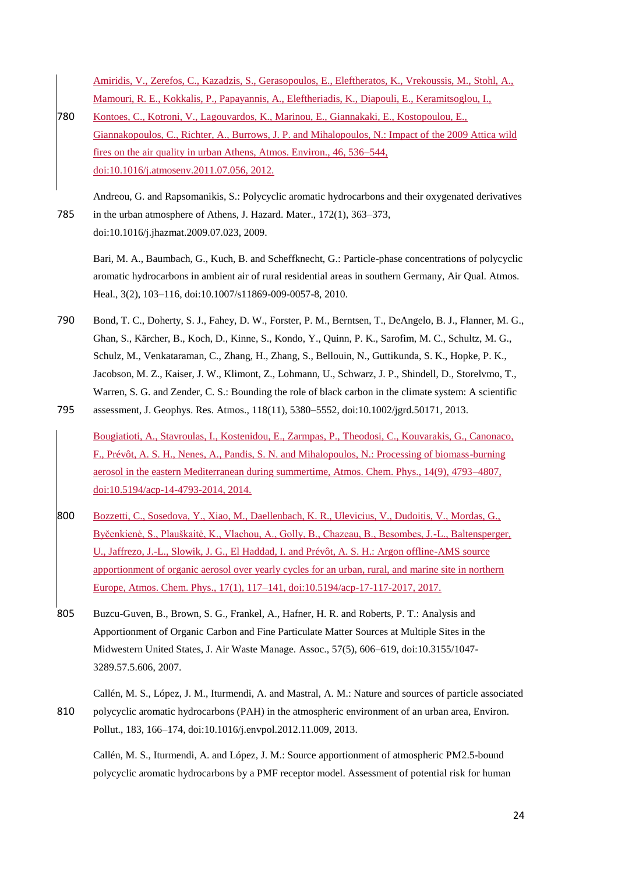Amiridis, V., Zerefos, C., Kazadzis, S., Gerasopoulos, E., Eleftheratos, K., Vrekoussis, M., Stohl, A., Mamouri, R. E., Kokkalis, P., Papayannis, A., Eleftheriadis, K., Diapouli, E., Keramitsoglou, I.,

780 Kontoes, C., Kotroni, V., Lagouvardos, K., Marinou, E., Giannakaki, E., Kostopoulou, E., Giannakopoulos, C., Richter, A., Burrows, J. P. and Mihalopoulos, N.: Impact of the 2009 Attica wild fires on the air quality in urban Athens, Atmos. Environ., 46, 536–544, doi:10.1016/j.atmosenv.2011.07.056, 2012.

Andreou, G. and Rapsomanikis, S.: Polycyclic aromatic hydrocarbons and their oxygenated derivatives 785 in the urban atmosphere of Athens, J. Hazard. Mater., 172(1), 363–373, doi:10.1016/j.jhazmat.2009.07.023, 2009.

Bari, M. A., Baumbach, G., Kuch, B. and Scheffknecht, G.: Particle-phase concentrations of polycyclic aromatic hydrocarbons in ambient air of rural residential areas in southern Germany, Air Qual. Atmos. Heal., 3(2), 103–116, doi:10.1007/s11869-009-0057-8, 2010.

- 790 Bond, T. C., Doherty, S. J., Fahey, D. W., Forster, P. M., Berntsen, T., DeAngelo, B. J., Flanner, M. G., Ghan, S., Kärcher, B., Koch, D., Kinne, S., Kondo, Y., Quinn, P. K., Sarofim, M. C., Schultz, M. G., Schulz, M., Venkataraman, C., Zhang, H., Zhang, S., Bellouin, N., Guttikunda, S. K., Hopke, P. K., Jacobson, M. Z., Kaiser, J. W., Klimont, Z., Lohmann, U., Schwarz, J. P., Shindell, D., Storelvmo, T., Warren, S. G. and Zender, C. S.: Bounding the role of black carbon in the climate system: A scientific 795 assessment, J. Geophys. Res. Atmos., 118(11), 5380–5552, doi:10.1002/jgrd.50171, 2013.
	- Bougiatioti, A., Stavroulas, I., Kostenidou, E., Zarmpas, P., Theodosi, C., Kouvarakis, G., Canonaco, F., Prévôt, A. S. H., Nenes, A., Pandis, S. N. and Mihalopoulos, N.: Processing of biomass-burning aerosol in the eastern Mediterranean during summertime, Atmos. Chem. Phys., 14(9), 4793–4807, doi:10.5194/acp-14-4793-2014, 2014.
- 800 Bozzetti, C., Sosedova, Y., Xiao, M., Daellenbach, K. R., Ulevicius, V., Dudoitis, V., Mordas, G., Byčenkienė, S., Plauškaitė, K., Vlachou, A., Golly, B., Chazeau, B., Besombes, J.-L., Baltensperger, U., Jaffrezo, J.-L., Slowik, J. G., El Haddad, I. and Prévôt, A. S. H.: Argon offline-AMS source apportionment of organic aerosol over yearly cycles for an urban, rural, and marine site in northern Europe, Atmos. Chem. Phys., 17(1), 117–141, doi:10.5194/acp-17-117-2017, 2017.
- 805 Buzcu-Guven, B., Brown, S. G., Frankel, A., Hafner, H. R. and Roberts, P. T.: Analysis and Apportionment of Organic Carbon and Fine Particulate Matter Sources at Multiple Sites in the Midwestern United States, J. Air Waste Manage. Assoc., 57(5), 606–619, doi:10.3155/1047- 3289.57.5.606, 2007.

Callén, M. S., López, J. M., Iturmendi, A. and Mastral, A. M.: Nature and sources of particle associated 810 polycyclic aromatic hydrocarbons (PAH) in the atmospheric environment of an urban area, Environ. Pollut., 183, 166–174, doi:10.1016/j.envpol.2012.11.009, 2013.

Callén, M. S., Iturmendi, A. and López, J. M.: Source apportionment of atmospheric PM2.5-bound polycyclic aromatic hydrocarbons by a PMF receptor model. Assessment of potential risk for human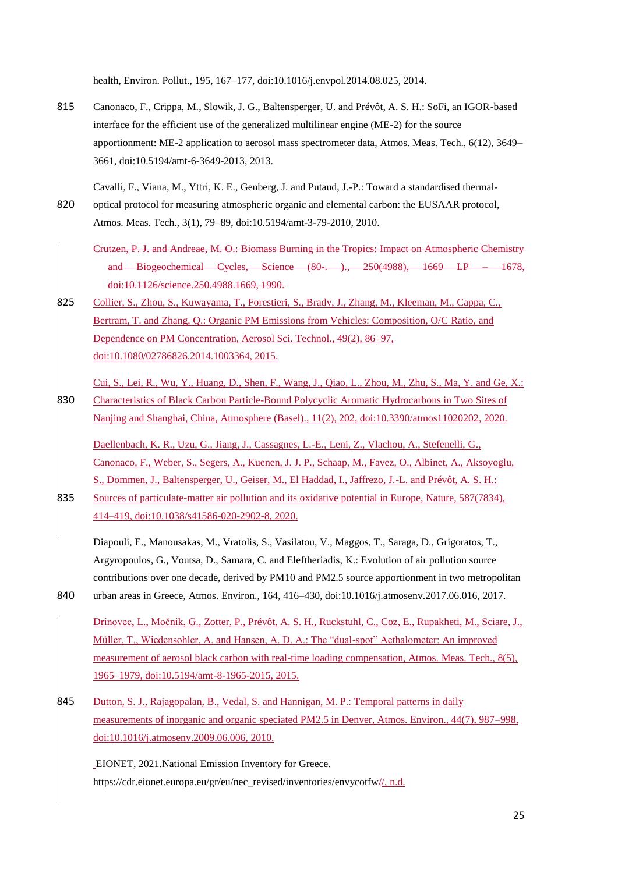health, Environ. Pollut., 195, 167–177, doi:10.1016/j.envpol.2014.08.025, 2014.

- 815 Canonaco, F., Crippa, M., Slowik, J. G., Baltensperger, U. and Prévôt, A. S. H.: SoFi, an IGOR-based interface for the efficient use of the generalized multilinear engine (ME-2) for the source apportionment: ME-2 application to aerosol mass spectrometer data, Atmos. Meas. Tech., 6(12), 3649– 3661, doi:10.5194/amt-6-3649-2013, 2013.
- Cavalli, F., Viana, M., Yttri, K. E., Genberg, J. and Putaud, J.-P.: Toward a standardised thermal-820 optical protocol for measuring atmospheric organic and elemental carbon: the EUSAAR protocol, Atmos. Meas. Tech., 3(1), 79–89, doi:10.5194/amt-3-79-2010, 2010.
	- Crutzen, P. J. and Andreae, M. O.: Biomass Burning in the Tropics: Impact on Atmospheric Chemistry and Biogeochemical Cycles, Science (80-. )., 250(4988), 1669 LP – 1678, doi:10.1126/science.250.4988.1669, 1990.
- 825 Collier, S., Zhou, S., Kuwayama, T., Forestieri, S., Brady, J., Zhang, M., Kleeman, M., Cappa, C., Bertram, T. and Zhang, Q.: Organic PM Emissions from Vehicles: Composition, O/C Ratio, and Dependence on PM Concentration, Aerosol Sci. Technol., 49(2), 86–97, doi:10.1080/02786826.2014.1003364, 2015.
- Cui, S., Lei, R., Wu, Y., Huang, D., Shen, F., Wang, J., Qiao, L., Zhou, M., Zhu, S., Ma, Y. and Ge, X.: 830 Characteristics of Black Carbon Particle-Bound Polycyclic Aromatic Hydrocarbons in Two Sites of Nanjing and Shanghai, China, Atmosphere (Basel)., 11(2), 202, doi:10.3390/atmos11020202, 2020.

Daellenbach, K. R., Uzu, G., Jiang, J., Cassagnes, L.-E., Leni, Z., Vlachou, A., Stefenelli, G., Canonaco, F., Weber, S., Segers, A., Kuenen, J. J. P., Schaap, M., Favez, O., Albinet, A., Aksoyoglu, S., Dommen, J., Baltensperger, U., Geiser, M., El Haddad, I., Jaffrezo, J.-L. and Prévôt, A. S. H.:

835 Sources of particulate-matter air pollution and its oxidative potential in Europe, Nature, 587(7834), 414–419, doi:10.1038/s41586-020-2902-8, 2020.

Diapouli, E., Manousakas, M., Vratolis, S., Vasilatou, V., Maggos, T., Saraga, D., Grigoratos, T., Argyropoulos, G., Voutsa, D., Samara, C. and Eleftheriadis, K.: Evolution of air pollution source contributions over one decade, derived by PM10 and PM2.5 source apportionment in two metropolitan 840 urban areas in Greece, Atmos. Environ., 164, 416–430, doi:10.1016/j.atmosenv.2017.06.016, 2017.

Drinovec, L., Močnik, G., Zotter, P., Prévôt, A. S. H., Ruckstuhl, C., Coz, E., Rupakheti, M., Sciare, J., Müller, T., Wiedensohler, A. and Hansen, A. D. A.: The "dual-spot" Aethalometer: An improved measurement of aerosol black carbon with real-time loading compensation, Atmos. Meas. Tech., 8(5), 1965–1979, doi:10.5194/amt-8-1965-2015, 2015.

845 Dutton, S. J., Rajagopalan, B., Vedal, S. and Hannigan, M. P.: Temporal patterns in daily measurements of inorganic and organic speciated PM2.5 in Denver, Atmos. Environ., 44(7), 987–998, doi:10.1016/j.atmosenv.2009.06.006, 2010.

EIONET, 2021.National Emission Inventory for Greece. https://cdr.eionet.europa.eu/gr/eu/nec\_revised/inventories/envycotfw//, n.d.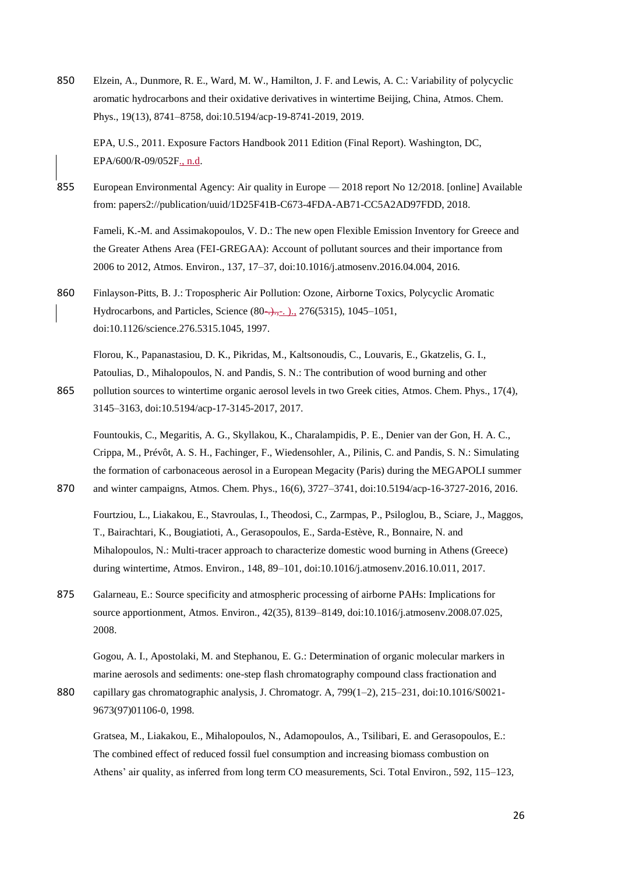850 Elzein, A., Dunmore, R. E., Ward, M. W., Hamilton, J. F. and Lewis, A. C.: Variability of polycyclic aromatic hydrocarbons and their oxidative derivatives in wintertime Beijing, China, Atmos. Chem. Phys., 19(13), 8741–8758, doi:10.5194/acp-19-8741-2019, 2019.

EPA, U.S., 2011. Exposure Factors Handbook 2011 Edition (Final Report). Washington, DC, EPA/600/R-09/052F., n.d.

855 European Environmental Agency: Air quality in Europe — 2018 report No 12/2018. [online] Available from: papers2://publication/uuid/1D25F41B-C673-4FDA-AB71-CC5A2AD97FDD, 2018.

Fameli, K.-M. and Assimakopoulos, V. D.: The new open Flexible Emission Inventory for Greece and the Greater Athens Area (FEI-GREGAA): Account of pollutant sources and their importance from 2006 to 2012, Atmos. Environ., 137, 17–37, doi:10.1016/j.atmosenv.2016.04.004, 2016.

860 Finlayson-Pitts, B. J.: Tropospheric Air Pollution: Ozone, Airborne Toxics, Polycyclic Aromatic Hydrocarbons, and Particles, Science (80–...–. )., 276(5315), 1045–1051, doi:10.1126/science.276.5315.1045, 1997.

Florou, K., Papanastasiou, D. K., Pikridas, M., Kaltsonoudis, C., Louvaris, E., Gkatzelis, G. I., Patoulias, D., Mihalopoulos, N. and Pandis, S. N.: The contribution of wood burning and other

865 pollution sources to wintertime organic aerosol levels in two Greek cities, Atmos. Chem. Phys., 17(4), 3145–3163, doi:10.5194/acp-17-3145-2017, 2017.

Fountoukis, C., Megaritis, A. G., Skyllakou, K., Charalampidis, P. E., Denier van der Gon, H. A. C., Crippa, M., Prévôt, A. S. H., Fachinger, F., Wiedensohler, A., Pilinis, C. and Pandis, S. N.: Simulating the formation of carbonaceous aerosol in a European Megacity (Paris) during the MEGAPOLI summer 870 and winter campaigns, Atmos. Chem. Phys., 16(6), 3727–3741, doi:10.5194/acp-16-3727-2016, 2016.

- Fourtziou, L., Liakakou, E., Stavroulas, I., Theodosi, C., Zarmpas, P., Psiloglou, B., Sciare, J., Maggos, T., Bairachtari, K., Bougiatioti, A., Gerasopoulos, E., Sarda-Estève, R., Bonnaire, N. and Mihalopoulos, N.: Multi-tracer approach to characterize domestic wood burning in Athens (Greece) during wintertime, Atmos. Environ., 148, 89–101, doi:10.1016/j.atmosenv.2016.10.011, 2017.
- 875 Galarneau, E.: Source specificity and atmospheric processing of airborne PAHs: Implications for source apportionment, Atmos. Environ., 42(35), 8139–8149, doi:10.1016/j.atmosenv.2008.07.025, 2008.

Gogou, A. I., Apostolaki, M. and Stephanou, E. G.: Determination of organic molecular markers in marine aerosols and sediments: one-step flash chromatography compound class fractionation and

880 capillary gas chromatographic analysis, J. Chromatogr. A, 799(1–2), 215–231, doi:10.1016/S0021-9673(97)01106-0, 1998.

Gratsea, M., Liakakou, E., Mihalopoulos, N., Adamopoulos, A., Tsilibari, E. and Gerasopoulos, E.: The combined effect of reduced fossil fuel consumption and increasing biomass combustion on Athens' air quality, as inferred from long term CO measurements, Sci. Total Environ., 592, 115–123,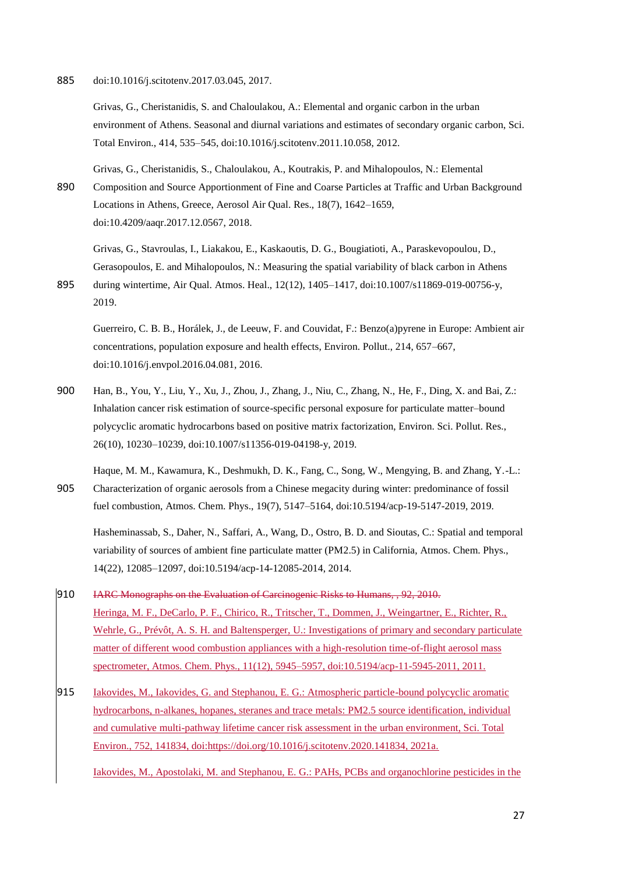885 doi:10.1016/j.scitotenv.2017.03.045, 2017.

Grivas, G., Cheristanidis, S. and Chaloulakou, A.: Elemental and organic carbon in the urban environment of Athens. Seasonal and diurnal variations and estimates of secondary organic carbon, Sci. Total Environ., 414, 535–545, doi:10.1016/j.scitotenv.2011.10.058, 2012.

Grivas, G., Cheristanidis, S., Chaloulakou, A., Koutrakis, P. and Mihalopoulos, N.: Elemental 890 Composition and Source Apportionment of Fine and Coarse Particles at Traffic and Urban Background

Locations in Athens, Greece, Aerosol Air Qual. Res., 18(7), 1642–1659, doi:10.4209/aaqr.2017.12.0567, 2018.

Grivas, G., Stavroulas, I., Liakakou, E., Kaskaoutis, D. G., Bougiatioti, A., Paraskevopoulou, D., Gerasopoulos, E. and Mihalopoulos, N.: Measuring the spatial variability of black carbon in Athens 895 during wintertime, Air Qual. Atmos. Heal., 12(12), 1405–1417, doi:10.1007/s11869-019-00756-y,

2019.

Guerreiro, C. B. B., Horálek, J., de Leeuw, F. and Couvidat, F.: Benzo(a)pyrene in Europe: Ambient air concentrations, population exposure and health effects, Environ. Pollut., 214, 657–667, doi:10.1016/j.envpol.2016.04.081, 2016.

900 Han, B., You, Y., Liu, Y., Xu, J., Zhou, J., Zhang, J., Niu, C., Zhang, N., He, F., Ding, X. and Bai, Z.: Inhalation cancer risk estimation of source-specific personal exposure for particulate matter–bound polycyclic aromatic hydrocarbons based on positive matrix factorization, Environ. Sci. Pollut. Res., 26(10), 10230–10239, doi:10.1007/s11356-019-04198-y, 2019.

Haque, M. M., Kawamura, K., Deshmukh, D. K., Fang, C., Song, W., Mengying, B. and Zhang, Y.-L.: 905 Characterization of organic aerosols from a Chinese megacity during winter: predominance of fossil fuel combustion, Atmos. Chem. Phys., 19(7), 5147–5164, doi:10.5194/acp-19-5147-2019, 2019.

Hasheminassab, S., Daher, N., Saffari, A., Wang, D., Ostro, B. D. and Sioutas, C.: Spatial and temporal variability of sources of ambient fine particulate matter (PM2.5) in California, Atmos. Chem. Phys., 14(22), 12085–12097, doi:10.5194/acp-14-12085-2014, 2014.

- 910 IARC Monographs on the Evaluation of Carcinogenic Risks to Humans, , 92, 2010. Heringa, M. F., DeCarlo, P. F., Chirico, R., Tritscher, T., Dommen, J., Weingartner, E., Richter, R., Wehrle, G., Prévôt, A. S. H. and Baltensperger, U.: Investigations of primary and secondary particulate matter of different wood combustion appliances with a high-resolution time-of-flight aerosol mass spectrometer, Atmos. Chem. Phys., 11(12), 5945–5957, doi:10.5194/acp-11-5945-2011, 2011.
- 915 Iakovides, M., Iakovides, G. and Stephanou, E. G.: Atmospheric particle-bound polycyclic aromatic hydrocarbons, n-alkanes, hopanes, steranes and trace metals: PM2.5 source identification, individual and cumulative multi-pathway lifetime cancer risk assessment in the urban environment, Sci. Total Environ., 752, 141834, doi:https://doi.org/10.1016/j.scitotenv.2020.141834, 2021a.

Iakovides, M., Apostolaki, M. and Stephanou, E. G.: PAHs, PCBs and organochlorine pesticides in the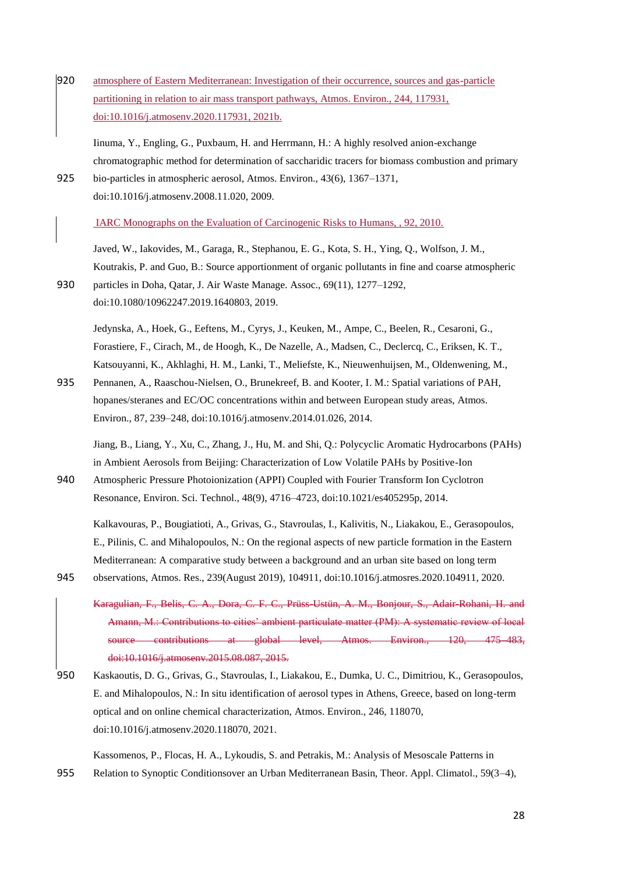920 atmosphere of Eastern Mediterranean: Investigation of their occurrence, sources and gas-particle partitioning in relation to air mass transport pathways, Atmos. Environ., 244, 117931, doi:10.1016/j.atmosenv.2020.117931, 2021b.

Iinuma, Y., Engling, G., Puxbaum, H. and Herrmann, H.: A highly resolved anion-exchange chromatographic method for determination of saccharidic tracers for biomass combustion and primary

925 bio-particles in atmospheric aerosol, Atmos. Environ., 43(6), 1367–1371, doi:10.1016/j.atmosenv.2008.11.020, 2009.

IARC Monographs on the Evaluation of Carcinogenic Risks to Humans, , 92, 2010.

Javed, W., Iakovides, M., Garaga, R., Stephanou, E. G., Kota, S. H., Ying, Q., Wolfson, J. M., Koutrakis, P. and Guo, B.: Source apportionment of organic pollutants in fine and coarse atmospheric 930 particles in Doha, Qatar, J. Air Waste Manage. Assoc., 69(11), 1277–1292, doi:10.1080/10962247.2019.1640803, 2019.

Jedynska, A., Hoek, G., Eeftens, M., Cyrys, J., Keuken, M., Ampe, C., Beelen, R., Cesaroni, G., Forastiere, F., Cirach, M., de Hoogh, K., De Nazelle, A., Madsen, C., Declercq, C., Eriksen, K. T., Katsouyanni, K., Akhlaghi, H. M., Lanki, T., Meliefste, K., Nieuwenhuijsen, M., Oldenwening, M.,

935 Pennanen, A., Raaschou-Nielsen, O., Brunekreef, B. and Kooter, I. M.: Spatial variations of PAH, hopanes/steranes and EC/OC concentrations within and between European study areas, Atmos. Environ., 87, 239–248, doi:10.1016/j.atmosenv.2014.01.026, 2014.

Jiang, B., Liang, Y., Xu, C., Zhang, J., Hu, M. and Shi, Q.: Polycyclic Aromatic Hydrocarbons (PAHs) in Ambient Aerosols from Beijing: Characterization of Low Volatile PAHs by Positive-Ion

940 Atmospheric Pressure Photoionization (APPI) Coupled with Fourier Transform Ion Cyclotron Resonance, Environ. Sci. Technol., 48(9), 4716–4723, doi:10.1021/es405295p, 2014.

Kalkavouras, P., Bougiatioti, A., Grivas, G., Stavroulas, I., Kalivitis, N., Liakakou, E., Gerasopoulos, E., Pilinis, C. and Mihalopoulos, N.: On the regional aspects of new particle formation in the Eastern Mediterranean: A comparative study between a background and an urban site based on long term 945 observations, Atmos. Res., 239(August 2019), 104911, doi:10.1016/j.atmosres.2020.104911, 2020.

- Karagulian, F., Belis, C. A., Dora, C. F. C., Prüss-Ustün, A. M., Bonjour, S., Adair-Rohani, H. and Amann, M.: Contributions to cities' ambient particulate matter (PM): A systematic review of local source contributions at global level, Atmos. Environ., 120, 475–483, doi:10.1016/j.atmosenv.2015.08.087, 2015.
- 950 Kaskaoutis, D. G., Grivas, G., Stavroulas, I., Liakakou, E., Dumka, U. C., Dimitriou, K., Gerasopoulos, E. and Mihalopoulos, N.: In situ identification of aerosol types in Athens, Greece, based on long-term optical and on online chemical characterization, Atmos. Environ., 246, 118070, doi:10.1016/j.atmosenv.2020.118070, 2021.

Kassomenos, P., Flocas, H. A., Lykoudis, S. and Petrakis, M.: Analysis of Mesoscale Patterns in 955 Relation to Synoptic Conditionsover an Urban Mediterranean Basin, Theor. Appl. Climatol., 59(3–4),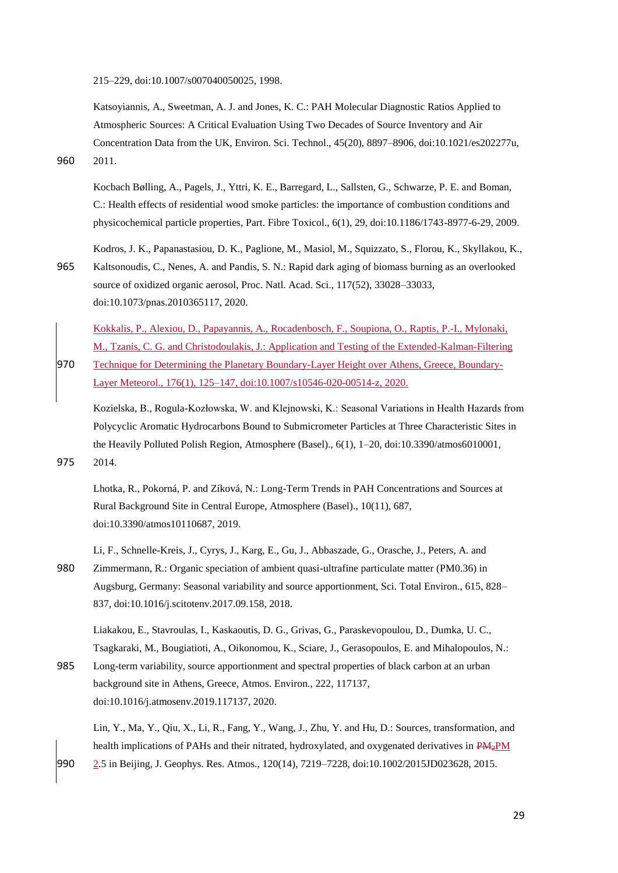215–229, doi:10.1007/s007040050025, 1998.

Katsoyiannis, A., Sweetman, A. J. and Jones, K. C.: PAH Molecular Diagnostic Ratios Applied to Atmospheric Sources: A Critical Evaluation Using Two Decades of Source Inventory and Air Concentration Data from the UK, Environ. Sci. Technol., 45(20), 8897–8906, doi:10.1021/es202277u, 960 2011.

Kocbach Bølling, A., Pagels, J., Yttri, K. E., Barregard, L., Sallsten, G., Schwarze, P. E. and Boman, C.: Health effects of residential wood smoke particles: the importance of combustion conditions and physicochemical particle properties, Part. Fibre Toxicol., 6(1), 29, doi:10.1186/1743-8977-6-29, 2009.

Kodros, J. K., Papanastasiou, D. K., Paglione, M., Masiol, M., Squizzato, S., Florou, K., Skyllakou, K., 965 Kaltsonoudis, C., Nenes, A. and Pandis, S. N.: Rapid dark aging of biomass burning as an overlooked source of oxidized organic aerosol, Proc. Natl. Acad. Sci., 117(52), 33028–33033, doi:10.1073/pnas.2010365117, 2020.

Kokkalis, P., Alexiou, D., Papayannis, A., Rocadenbosch, F., Soupiona, O., Raptis, P.-I., Mylonaki, M., Tzanis, C. G. and Christodoulakis, J.: Application and Testing of the Extended-Kalman-Filtering 970 Technique for Determining the Planetary Boundary-Layer Height over Athens, Greece, Boundary-Layer Meteorol., 176(1), 125–147, doi:10.1007/s10546-020-00514-z, 2020.

Kozielska, B., Rogula-Kozłowska, W. and Klejnowski, K.: Seasonal Variations in Health Hazards from Polycyclic Aromatic Hydrocarbons Bound to Submicrometer Particles at Three Characteristic Sites in the Heavily Polluted Polish Region, Atmosphere (Basel)., 6(1), 1-20, doi:10.3390/atmos6010001, 975 2014.

Lhotka, R., Pokorná, P. and Zíková, N.: Long-Term Trends in PAH Concentrations and Sources at Rural Background Site in Central Europe, Atmosphere (Basel)., 10(11), 687, doi:10.3390/atmos10110687, 2019.

Li, F., Schnelle-Kreis, J., Cyrys, J., Karg, E., Gu, J., Abbaszade, G., Orasche, J., Peters, A. and 980 Zimmermann, R.: Organic speciation of ambient quasi-ultrafine particulate matter (PM0.36) in Augsburg, Germany: Seasonal variability and source apportionment, Sci. Total Environ., 615, 828– 837, doi:10.1016/j.scitotenv.2017.09.158, 2018.

Liakakou, E., Stavroulas, I., Kaskaoutis, D. G., Grivas, G., Paraskevopoulou, D., Dumka, U. C., Tsagkaraki, M., Bougiatioti, A., Oikonomou, K., Sciare, J., Gerasopoulos, E. and Mihalopoulos, N.:

985 Long-term variability, source apportionment and spectral properties of black carbon at an urban background site in Athens, Greece, Atmos. Environ., 222, 117137, doi:10.1016/j.atmosenv.2019.117137, 2020.

Lin, Y., Ma, Y., Qiu, X., Li, R., Fang, Y., Wang, J., Zhu, Y. and Hu, D.: Sources, transformation, and health implications of PAHs and their nitrated, hydroxylated, and oxygenated derivatives in PM<sub>2</sub>PM 990 2.5 in Beijing, J. Geophys. Res. Atmos., 120(14), 7219–7228, doi:10.1002/2015JD023628, 2015.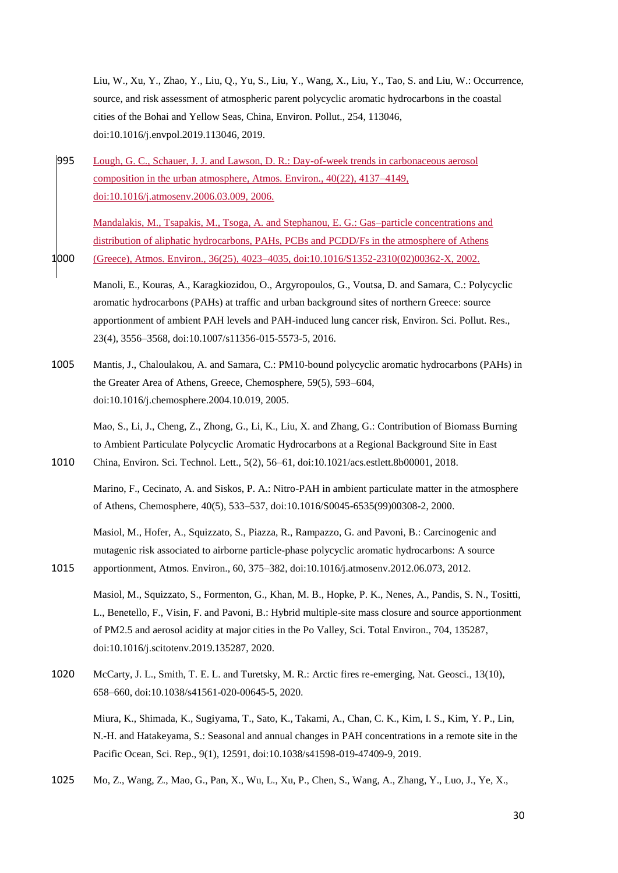Liu, W., Xu, Y., Zhao, Y., Liu, Q., Yu, S., Liu, Y., Wang, X., Liu, Y., Tao, S. and Liu, W.: Occurrence, source, and risk assessment of atmospheric parent polycyclic aromatic hydrocarbons in the coastal cities of the Bohai and Yellow Seas, China, Environ. Pollut., 254, 113046, doi:10.1016/j.envpol.2019.113046, 2019.

995 Lough, G. C., Schauer, J. J. and Lawson, D. R.: Day-of-week trends in carbonaceous aerosol composition in the urban atmosphere, Atmos. Environ., 40(22), 4137–4149, doi:10.1016/j.atmosenv.2006.03.009, 2006.

Mandalakis, M., Tsapakis, M., Tsoga, A. and Stephanou, E. G.: Gas–particle concentrations and distribution of aliphatic hydrocarbons, PAHs, PCBs and PCDD/Fs in the atmosphere of Athens 1000 (Greece), Atmos. Environ., 36(25), 4023–4035, doi:10.1016/S1352-2310(02)00362-X, 2002.

- Manoli, E., Kouras, A., Karagkiozidou, O., Argyropoulos, G., Voutsa, D. and Samara, C.: Polycyclic aromatic hydrocarbons (PAHs) at traffic and urban background sites of northern Greece: source apportionment of ambient PAH levels and PAH-induced lung cancer risk, Environ. Sci. Pollut. Res., 23(4), 3556–3568, doi:10.1007/s11356-015-5573-5, 2016.
- 1005 Mantis, J., Chaloulakou, A. and Samara, C.: PM10-bound polycyclic aromatic hydrocarbons (PAHs) in the Greater Area of Athens, Greece, Chemosphere, 59(5), 593–604, doi:10.1016/j.chemosphere.2004.10.019, 2005.

Mao, S., Li, J., Cheng, Z., Zhong, G., Li, K., Liu, X. and Zhang, G.: Contribution of Biomass Burning to Ambient Particulate Polycyclic Aromatic Hydrocarbons at a Regional Background Site in East 1010 China, Environ. Sci. Technol. Lett., 5(2), 56–61, doi:10.1021/acs.estlett.8b00001, 2018.

Marino, F., Cecinato, A. and Siskos, P. A.: Nitro-PAH in ambient particulate matter in the atmosphere of Athens, Chemosphere, 40(5), 533–537, doi:10.1016/S0045-6535(99)00308-2, 2000.

Masiol, M., Hofer, A., Squizzato, S., Piazza, R., Rampazzo, G. and Pavoni, B.: Carcinogenic and mutagenic risk associated to airborne particle-phase polycyclic aromatic hydrocarbons: A source 1015 apportionment, Atmos. Environ., 60, 375–382, doi:10.1016/j.atmosenv.2012.06.073, 2012.

Masiol, M., Squizzato, S., Formenton, G., Khan, M. B., Hopke, P. K., Nenes, A., Pandis, S. N., Tositti, L., Benetello, F., Visin, F. and Pavoni, B.: Hybrid multiple-site mass closure and source apportionment of PM2.5 and aerosol acidity at major cities in the Po Valley, Sci. Total Environ., 704, 135287, doi:10.1016/j.scitotenv.2019.135287, 2020.

1020 McCarty, J. L., Smith, T. E. L. and Turetsky, M. R.: Arctic fires re-emerging, Nat. Geosci., 13(10), 658–660, doi:10.1038/s41561-020-00645-5, 2020.

Miura, K., Shimada, K., Sugiyama, T., Sato, K., Takami, A., Chan, C. K., Kim, I. S., Kim, Y. P., Lin, N.-H. and Hatakeyama, S.: Seasonal and annual changes in PAH concentrations in a remote site in the Pacific Ocean, Sci. Rep., 9(1), 12591, doi:10.1038/s41598-019-47409-9, 2019.

1025 Mo, Z., Wang, Z., Mao, G., Pan, X., Wu, L., Xu, P., Chen, S., Wang, A., Zhang, Y., Luo, J., Ye, X.,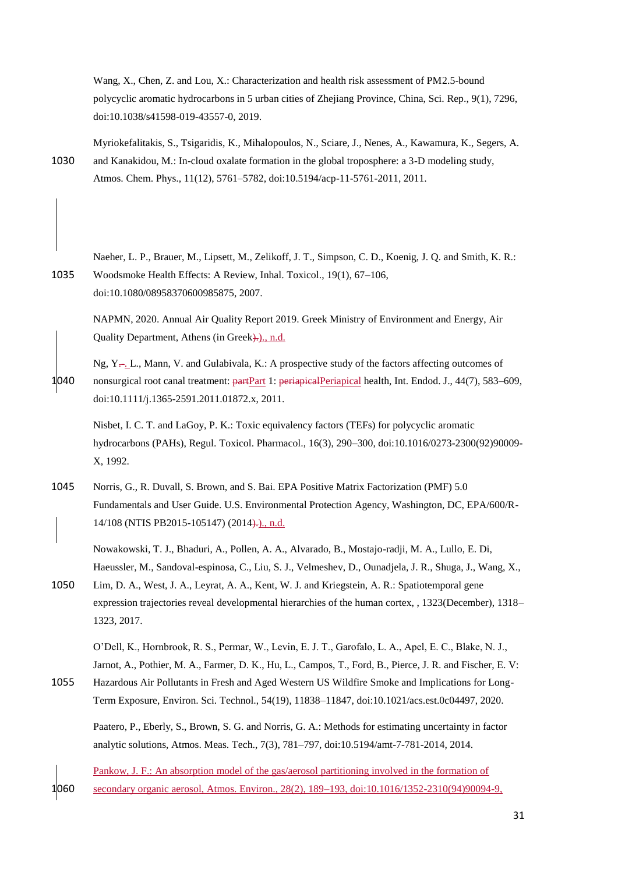Wang, X., Chen, Z. and Lou, X.: Characterization and health risk assessment of PM2.5-bound polycyclic aromatic hydrocarbons in 5 urban cities of Zhejiang Province, China, Sci. Rep., 9(1), 7296, doi:10.1038/s41598-019-43557-0, 2019.

Myriokefalitakis, S., Tsigaridis, K., Mihalopoulos, N., Sciare, J., Nenes, A., Kawamura, K., Segers, A. 1030 and Kanakidou, M.: In-cloud oxalate formation in the global troposphere: a 3-D modeling study, Atmos. Chem. Phys., 11(12), 5761–5782, doi:10.5194/acp-11-5761-2011, 2011.

Naeher, L. P., Brauer, M., Lipsett, M., Zelikoff, J. T., Simpson, C. D., Koenig, J. Q. and Smith, K. R.: 1035 Woodsmoke Health Effects: A Review, Inhal. Toxicol., 19(1), 67–106, doi:10.1080/08958370600985875, 2007.

NAPMN, 2020. Annual Air Quality Report 2019. Greek Ministry of Environment and Energy, Air Quality Department, Athens (in Greek).)., n.d.

Ng,  $Y_{\tau}$ , L., Mann, V. and Gulabivala, K.: A prospective study of the factors affecting outcomes of 1040 nonsurgical root canal treatment: partPart 1: periapicalPeriapical health, Int. Endod. J., 44(7), 583–609, doi:10.1111/j.1365-2591.2011.01872.x, 2011.

Nisbet, I. C. T. and LaGoy, P. K.: Toxic equivalency factors (TEFs) for polycyclic aromatic hydrocarbons (PAHs), Regul. Toxicol. Pharmacol., 16(3), 290–300, doi:10.1016/0273-2300(92)90009- X, 1992.

1045 Norris, G., R. Duvall, S. Brown, and S. Bai. EPA Positive Matrix Factorization (PMF) 5.0 Fundamentals and User Guide. U.S. Environmental Protection Agency, Washington, DC, EPA/600/R-14/108 (NTIS PB2015-105147) (2014).)., n.d.

Nowakowski, T. J., Bhaduri, A., Pollen, A. A., Alvarado, B., Mostajo-radji, M. A., Lullo, E. Di, Haeussler, M., Sandoval-espinosa, C., Liu, S. J., Velmeshev, D., Ounadjela, J. R., Shuga, J., Wang, X.,

1050 Lim, D. A., West, J. A., Leyrat, A. A., Kent, W. J. and Kriegstein, A. R.: Spatiotemporal gene expression trajectories reveal developmental hierarchies of the human cortex, , 1323(December), 1318– 1323, 2017.

O'Dell, K., Hornbrook, R. S., Permar, W., Levin, E. J. T., Garofalo, L. A., Apel, E. C., Blake, N. J., Jarnot, A., Pothier, M. A., Farmer, D. K., Hu, L., Campos, T., Ford, B., Pierce, J. R. and Fischer, E. V:

1055 Hazardous Air Pollutants in Fresh and Aged Western US Wildfire Smoke and Implications for Long-Term Exposure, Environ. Sci. Technol., 54(19), 11838–11847, doi:10.1021/acs.est.0c04497, 2020.

Paatero, P., Eberly, S., Brown, S. G. and Norris, G. A.: Methods for estimating uncertainty in factor analytic solutions, Atmos. Meas. Tech., 7(3), 781–797, doi:10.5194/amt-7-781-2014, 2014.

Pankow, J. F.: An absorption model of the gas/aerosol partitioning involved in the formation of 1060 secondary organic aerosol, Atmos. Environ., 28(2), 189–193, doi:10.1016/1352-2310(94)90094-9,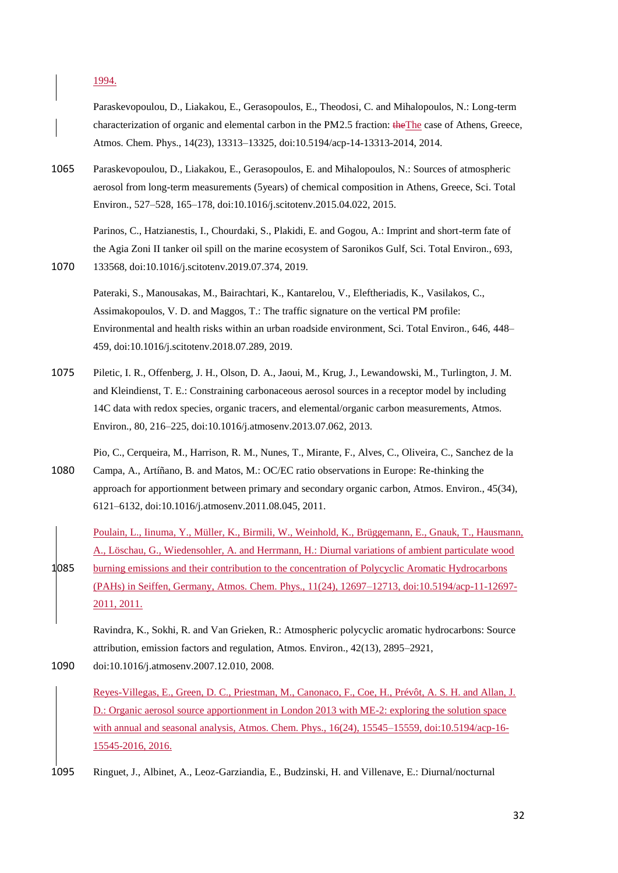1994.

Paraskevopoulou, D., Liakakou, E., Gerasopoulos, E., Theodosi, C. and Mihalopoulos, N.: Long-term characterization of organic and elemental carbon in the PM2.5 fraction: theThe case of Athens, Greece, Atmos. Chem. Phys., 14(23), 13313–13325, doi:10.5194/acp-14-13313-2014, 2014.

1065 Paraskevopoulou, D., Liakakou, E., Gerasopoulos, E. and Mihalopoulos, N.: Sources of atmospheric aerosol from long-term measurements (5years) of chemical composition in Athens, Greece, Sci. Total Environ., 527–528, 165–178, doi:10.1016/j.scitotenv.2015.04.022, 2015.

Parinos, C., Hatzianestis, I., Chourdaki, S., Plakidi, E. and Gogou, A.: Imprint and short-term fate of the Agia Zoni II tanker oil spill on the marine ecosystem of Saronikos Gulf, Sci. Total Environ., 693, 1070 133568, doi:10.1016/j.scitotenv.2019.07.374, 2019.

Pateraki, S., Manousakas, M., Bairachtari, K., Kantarelou, V., Eleftheriadis, K., Vasilakos, C., Assimakopoulos, V. D. and Maggos, T.: The traffic signature on the vertical PM profile: Environmental and health risks within an urban roadside environment, Sci. Total Environ., 646, 448– 459, doi:10.1016/j.scitotenv.2018.07.289, 2019.

- 1075 Piletic, I. R., Offenberg, J. H., Olson, D. A., Jaoui, M., Krug, J., Lewandowski, M., Turlington, J. M. and Kleindienst, T. E.: Constraining carbonaceous aerosol sources in a receptor model by including 14C data with redox species, organic tracers, and elemental/organic carbon measurements, Atmos. Environ., 80, 216–225, doi:10.1016/j.atmosenv.2013.07.062, 2013.
- Pio, C., Cerqueira, M., Harrison, R. M., Nunes, T., Mirante, F., Alves, C., Oliveira, C., Sanchez de la 1080 Campa, A., Artíñano, B. and Matos, M.: OC/EC ratio observations in Europe: Re-thinking the approach for apportionment between primary and secondary organic carbon, Atmos. Environ., 45(34), 6121–6132, doi:10.1016/j.atmosenv.2011.08.045, 2011.
- Poulain, L., Iinuma, Y., Müller, K., Birmili, W., Weinhold, K., Brüggemann, E., Gnauk, T., Hausmann, A., Löschau, G., Wiedensohler, A. and Herrmann, H.: Diurnal variations of ambient particulate wood 1085 burning emissions and their contribution to the concentration of Polycyclic Aromatic Hydrocarbons (PAHs) in Seiffen, Germany, Atmos. Chem. Phys., 11(24), 12697–12713, doi:10.5194/acp-11-12697- 2011, 2011.

Ravindra, K., Sokhi, R. and Van Grieken, R.: Atmospheric polycyclic aromatic hydrocarbons: Source attribution, emission factors and regulation, Atmos. Environ., 42(13), 2895–2921,

1090 doi:10.1016/j.atmosenv.2007.12.010, 2008.

Reyes-Villegas, E., Green, D. C., Priestman, M., Canonaco, F., Coe, H., Prévôt, A. S. H. and Allan, J. D.: Organic aerosol source apportionment in London 2013 with ME-2: exploring the solution space with annual and seasonal analysis, Atmos. Chem. Phys., 16(24), 15545–15559, doi:10.5194/acp-16-15545-2016, 2016.

1095 Ringuet, J., Albinet, A., Leoz-Garziandia, E., Budzinski, H. and Villenave, E.: Diurnal/nocturnal

32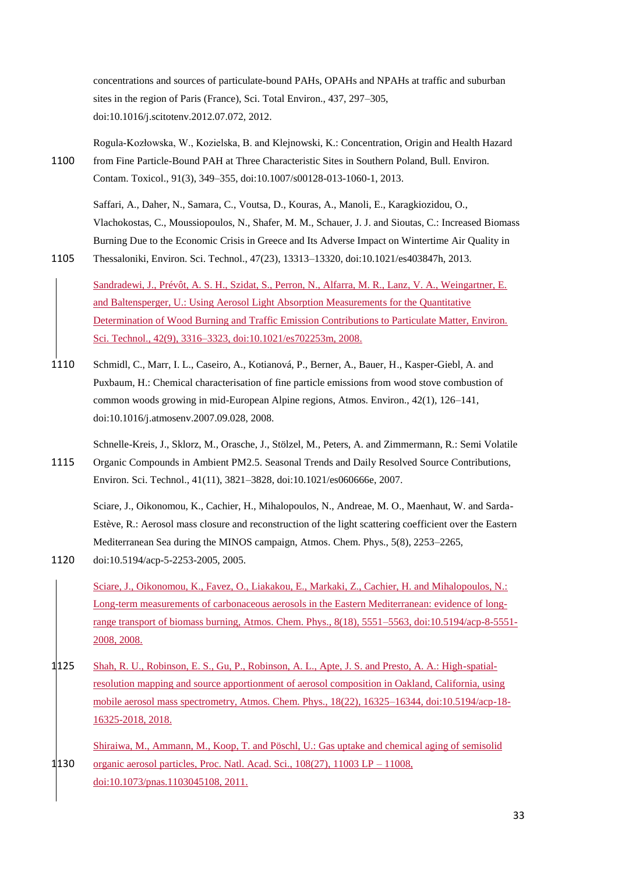concentrations and sources of particulate-bound PAHs, OPAHs and NPAHs at traffic and suburban sites in the region of Paris (France), Sci. Total Environ., 437, 297–305, doi:10.1016/j.scitotenv.2012.07.072, 2012.

Rogula-Kozłowska, W., Kozielska, B. and Klejnowski, K.: Concentration, Origin and Health Hazard 1100 from Fine Particle-Bound PAH at Three Characteristic Sites in Southern Poland, Bull. Environ. Contam. Toxicol., 91(3), 349–355, doi:10.1007/s00128-013-1060-1, 2013.

Saffari, A., Daher, N., Samara, C., Voutsa, D., Kouras, A., Manoli, E., Karagkiozidou, O., Vlachokostas, C., Moussiopoulos, N., Shafer, M. M., Schauer, J. J. and Sioutas, C.: Increased Biomass Burning Due to the Economic Crisis in Greece and Its Adverse Impact on Wintertime Air Quality in 1105 Thessaloniki, Environ. Sci. Technol., 47(23), 13313–13320, doi:10.1021/es403847h, 2013.

Sandradewi, J., Prévôt, A. S. H., Szidat, S., Perron, N., Alfarra, M. R., Lanz, V. A., Weingartner, E.

and Baltensperger, U.: Using Aerosol Light Absorption Measurements for the Quantitative Determination of Wood Burning and Traffic Emission Contributions to Particulate Matter, Environ. Sci. Technol., 42(9), 3316–3323, doi:10.1021/es702253m, 2008.

- 1110 Schmidl, C., Marr, I. L., Caseiro, A., Kotianová, P., Berner, A., Bauer, H., Kasper-Giebl, A. and Puxbaum, H.: Chemical characterisation of fine particle emissions from wood stove combustion of common woods growing in mid-European Alpine regions, Atmos. Environ., 42(1), 126–141, doi:10.1016/j.atmosenv.2007.09.028, 2008.
- Schnelle-Kreis, J., Sklorz, M., Orasche, J., Stölzel, M., Peters, A. and Zimmermann, R.: Semi Volatile 1115 Organic Compounds in Ambient PM2.5. Seasonal Trends and Daily Resolved Source Contributions, Environ. Sci. Technol., 41(11), 3821–3828, doi:10.1021/es060666e, 2007.

Sciare, J., Oikonomou, K., Cachier, H., Mihalopoulos, N., Andreae, M. O., Maenhaut, W. and Sarda-Estève, R.: Aerosol mass closure and reconstruction of the light scattering coefficient over the Eastern Mediterranean Sea during the MINOS campaign, Atmos. Chem. Phys., 5(8), 2253–2265, 1120 doi:10.5194/acp-5-2253-2005, 2005.

Sciare, J., Oikonomou, K., Favez, O., Liakakou, E., Markaki, Z., Cachier, H. and Mihalopoulos, N.: Long-term measurements of carbonaceous aerosols in the Eastern Mediterranean: evidence of longrange transport of biomass burning, Atmos. Chem. Phys., 8(18), 5551–5563, doi:10.5194/acp-8-5551- 2008, 2008.

1125 Shah, R. U., Robinson, E. S., Gu, P., Robinson, A. L., Apte, J. S. and Presto, A. A.: High-spatialresolution mapping and source apportionment of aerosol composition in Oakland, California, using mobile aerosol mass spectrometry, Atmos. Chem. Phys., 18(22), 16325–16344, doi:10.5194/acp-18- 16325-2018, 2018.

Shiraiwa, M., Ammann, M., Koop, T. and Pöschl, U.: Gas uptake and chemical aging of semisolid 1130 organic aerosol particles, Proc. Natl. Acad. Sci., 108(27), 11003 LP – 11008, doi:10.1073/pnas.1103045108, 2011.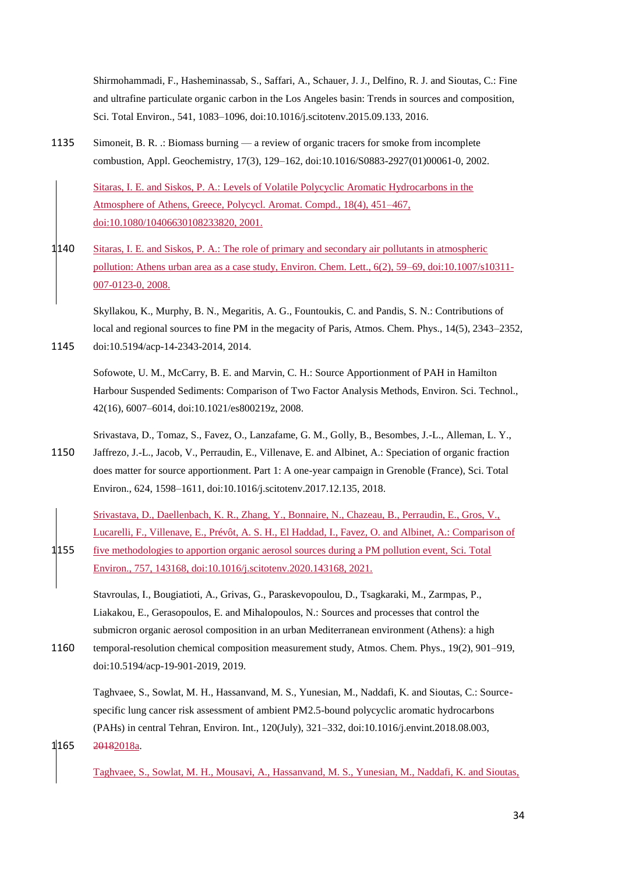Shirmohammadi, F., Hasheminassab, S., Saffari, A., Schauer, J. J., Delfino, R. J. and Sioutas, C.: Fine and ultrafine particulate organic carbon in the Los Angeles basin: Trends in sources and composition, Sci. Total Environ., 541, 1083–1096, doi:10.1016/j.scitotenv.2015.09.133, 2016.

1135 Simoneit, B. R. .: Biomass burning — a review of organic tracers for smoke from incomplete combustion, Appl. Geochemistry, 17(3), 129–162, doi:10.1016/S0883-2927(01)00061-0, 2002.

Sitaras, I. E. and Siskos, P. A.: Levels of Volatile Polycyclic Aromatic Hydrocarbons in the Atmosphere of Athens, Greece, Polycycl. Aromat. Compd., 18(4), 451–467, doi:10.1080/10406630108233820, 2001.

1140 Sitaras, I. E. and Siskos, P. A.: The role of primary and secondary air pollutants in atmospheric pollution: Athens urban area as a case study, Environ. Chem. Lett., 6(2), 59–69, doi:10.1007/s10311-007-0123-0, 2008.

Skyllakou, K., Murphy, B. N., Megaritis, A. G., Fountoukis, C. and Pandis, S. N.: Contributions of local and regional sources to fine PM in the megacity of Paris, Atmos. Chem. Phys., 14(5), 2343–2352. 1145 doi:10.5194/acp-14-2343-2014, 2014.

Sofowote, U. M., McCarry, B. E. and Marvin, C. H.: Source Apportionment of PAH in Hamilton Harbour Suspended Sediments: Comparison of Two Factor Analysis Methods, Environ. Sci. Technol., 42(16), 6007–6014, doi:10.1021/es800219z, 2008.

- Srivastava, D., Tomaz, S., Favez, O., Lanzafame, G. M., Golly, B., Besombes, J.-L., Alleman, L. Y., 1150 Jaffrezo, J.-L., Jacob, V., Perraudin, E., Villenave, E. and Albinet, A.: Speciation of organic fraction does matter for source apportionment. Part 1: A one-year campaign in Grenoble (France), Sci. Total Environ., 624, 1598–1611, doi:10.1016/j.scitotenv.2017.12.135, 2018.
- Srivastava, D., Daellenbach, K. R., Zhang, Y., Bonnaire, N., Chazeau, B., Perraudin, E., Gros, V., Lucarelli, F., Villenave, E., Prévôt, A. S. H., El Haddad, I., Favez, O. and Albinet, A.: Comparison of 1155 five methodologies to apportion organic aerosol sources during a PM pollution event, Sci. Total Environ., 757, 143168, doi:10.1016/j.scitotenv.2020.143168, 2021.

Stavroulas, I., Bougiatioti, A., Grivas, G., Paraskevopoulou, D., Tsagkaraki, M., Zarmpas, P., Liakakou, E., Gerasopoulos, E. and Mihalopoulos, N.: Sources and processes that control the submicron organic aerosol composition in an urban Mediterranean environment (Athens): a high

1160 temporal-resolution chemical composition measurement study, Atmos. Chem. Phys., 19(2), 901–919, doi:10.5194/acp-19-901-2019, 2019.

Taghvaee, S., Sowlat, M. H., Hassanvand, M. S., Yunesian, M., Naddafi, K. and Sioutas, C.: Sourcespecific lung cancer risk assessment of ambient PM2.5-bound polycyclic aromatic hydrocarbons (PAHs) in central Tehran, Environ. Int., 120(July), 321–332, doi:10.1016/j.envint.2018.08.003,

1165 20182018a.

Taghvaee, S., Sowlat, M. H., Mousavi, A., Hassanvand, M. S., Yunesian, M., Naddafi, K. and Sioutas,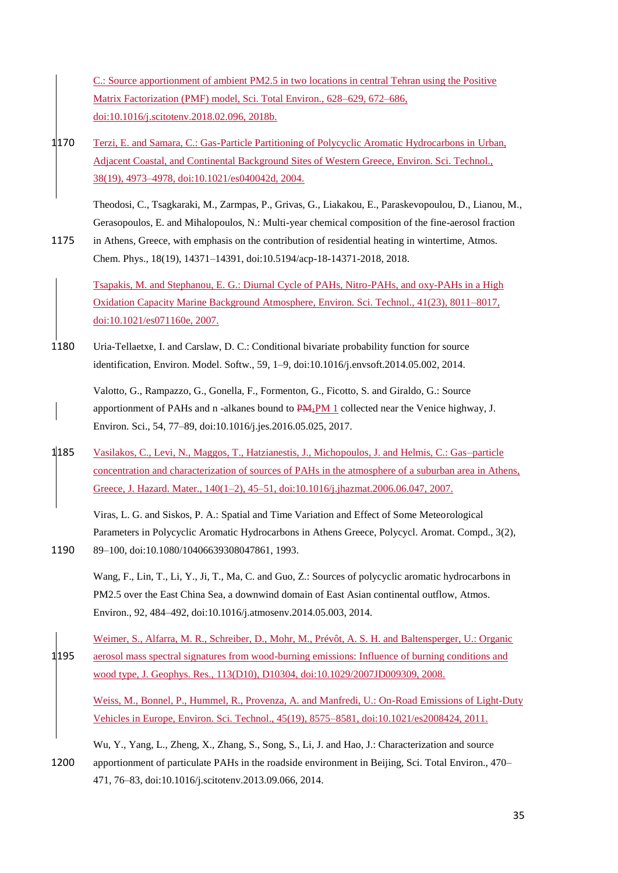C.: Source apportionment of ambient PM2.5 in two locations in central Tehran using the Positive Matrix Factorization (PMF) model, Sci. Total Environ., 628–629, 672–686, doi:10.1016/j.scitotenv.2018.02.096, 2018b.

1170 Terzi, E. and Samara, C.: Gas-Particle Partitioning of Polycyclic Aromatic Hydrocarbons in Urban, Adjacent Coastal, and Continental Background Sites of Western Greece, Environ. Sci. Technol., 38(19), 4973–4978, doi:10.1021/es040042d, 2004.

Theodosi, C., Tsagkaraki, M., Zarmpas, P., Grivas, G., Liakakou, E., Paraskevopoulou, D., Lianou, M., Gerasopoulos, E. and Mihalopoulos, N.: Multi-year chemical composition of the fine-aerosol fraction

1175 in Athens, Greece, with emphasis on the contribution of residential heating in wintertime, Atmos. Chem. Phys., 18(19), 14371–14391, doi:10.5194/acp-18-14371-2018, 2018.

Tsapakis, M. and Stephanou, E. G.: Diurnal Cycle of PAHs, Nitro-PAHs, and oxy-PAHs in a High Oxidation Capacity Marine Background Atmosphere, Environ. Sci. Technol., 41(23), 8011–8017, doi:10.1021/es071160e, 2007.

1180 Uria-Tellaetxe, I. and Carslaw, D. C.: Conditional bivariate probability function for source identification, Environ. Model. Softw., 59, 1–9, doi:10.1016/j.envsoft.2014.05.002, 2014.

Valotto, G., Rampazzo, G., Gonella, F., Formenton, G., Ficotto, S. and Giraldo, G.: Source apportionment of PAHs and n -alkanes bound to  $PAH_1PM$  1 collected near the Venice highway, J. Environ. Sci., 54, 77–89, doi:10.1016/j.jes.2016.05.025, 2017.

1185 Vasilakos, C., Levi, N., Maggos, T., Hatzianestis, J., Michopoulos, J. and Helmis, C.: Gas–particle concentration and characterization of sources of PAHs in the atmosphere of a suburban area in Athens, Greece, J. Hazard. Mater., 140(1–2), 45–51, doi:10.1016/j.jhazmat.2006.06.047, 2007.

Viras, L. G. and Siskos, P. A.: Spatial and Time Variation and Effect of Some Meteorological Parameters in Polycyclic Aromatic Hydrocarbons in Athens Greece, Polycycl. Aromat. Compd., 3(2), 1190 89–100, doi:10.1080/10406639308047861, 1993.

Wang, F., Lin, T., Li, Y., Ji, T., Ma, C. and Guo, Z.: Sources of polycyclic aromatic hydrocarbons in PM2.5 over the East China Sea, a downwind domain of East Asian continental outflow, Atmos. Environ., 92, 484–492, doi:10.1016/j.atmosenv.2014.05.003, 2014.

Weimer, S., Alfarra, M. R., Schreiber, D., Mohr, M., Prévôt, A. S. H. and Baltensperger, U.: Organic 1195 aerosol mass spectral signatures from wood-burning emissions: Influence of burning conditions and wood type, J. Geophys. Res., 113(D10), D10304, doi:10.1029/2007JD009309, 2008.

Weiss, M., Bonnel, P., Hummel, R., Provenza, A. and Manfredi, U.: On-Road Emissions of Light-Duty Vehicles in Europe, Environ. Sci. Technol., 45(19), 8575–8581, doi:10.1021/es2008424, 2011.

Wu, Y., Yang, L., Zheng, X., Zhang, S., Song, S., Li, J. and Hao, J.: Characterization and source 1200 apportionment of particulate PAHs in the roadside environment in Beijing, Sci. Total Environ., 470– 471, 76–83, doi:10.1016/j.scitotenv.2013.09.066, 2014.